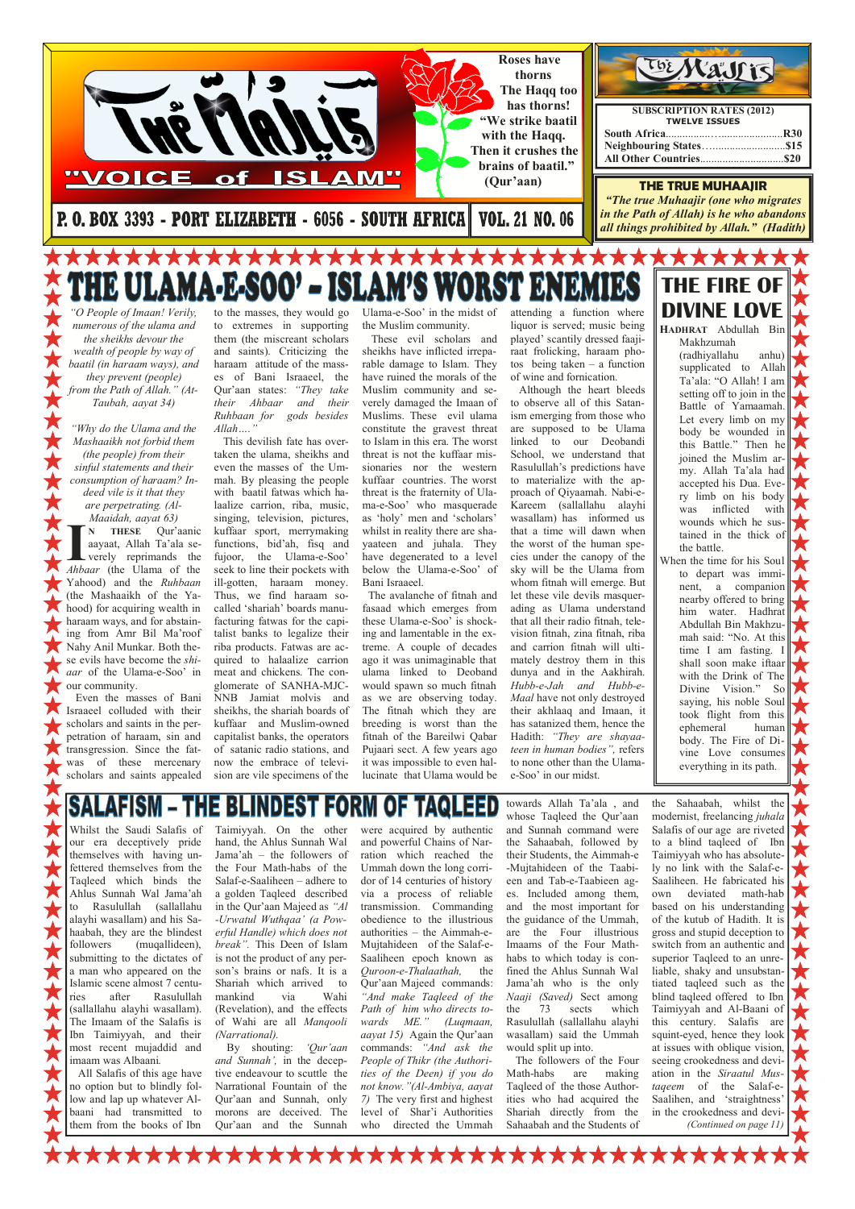Whilst the Saudi Salafis of our era deceptively pride themselves with having unfettered themselves from the Taqleed which binds the Ahlus Sunnah Wal Jama'ah to Rasulullah (sallallahu

alayhi wasallam) and his Sahaabah, they are the blindest<br>followers (muqallideen). (muqallideen), submitting to the dictates of a man who appeared on the Islamic scene almost 7 centuries after Rasulullah (sallallahu alayhi wasallam). The Imaam of the Salafis is Ibn Taimiyyah, and their most recent mujaddid and imaam was Albaani. All Salafis of this age have no option but to blindly follow and lap up whatever Al-

baani had transmitted to them from the books of Ibn Taimiyyah. On the other hand, the Ahlus Sunnah Wal Jama'ah – the followers of the Four Math-habs of the Salaf-e-Saaliheen – adhere to a golden Taqleed described in the Qur'aan Majeed as "Al -Urwatul Wuthqaa' (a Powerful Handle) which does not break". This Deen of Islam is not the product of any person's brains or nafs. It is a Shariah which arrived to mankind via Wahi (Revelation), and the effects of Wahi are all Manqooli (Narrational). By shouting: 'Qur'aan and Sunnah', in the deceptive endeavour to scuttle the Narrational Fountain of the

Qur'aan and Sunnah, only morons are deceived. The Qur'aan and the Sunnah

were acquired by authentic and powerful Chains of Narration which reached the Ummah down the long corridor of 14 centuries of history via a process of reliable transmission. Commanding obedience to the illustrious authorities – the Aimmah-e-Mujtahideen of the Salaf-e-Saaliheen epoch known as Quroon-e-Thalaathah, the Qur'aan Majeed commands: "And make Taqleed of the Path of him who directs towards ME." (Luqmaan, aayat 15) Again the Qur'aan commands: "And ask the People of Thikr (the Authorities of the Deen) if you do not know."(Al-Ambiya, aayat 7) The very first and highest level of Shar'i Authorities who directed the Ummah

N THESE Qur'aanic<br>aayaat, Allah Ta'ala se-<br>verely reprimands the<br>*Ahbaar* (the Ulama of the N THESE Qur'aanic aayaat, Allah Ta'ala severely reprimands the Yahood) and the Ruhbaan (the Mashaaikh of the Yahood) for acquiring wealth in haraam ways, and for abstaining from Amr Bil Ma'roof Nahy Anil Munkar. Both these evils have become the shiaar of the Ulama-e-Soo' in our community.

to the masses, they would go to extremes in supporting them (the miscreant scholars and saints). Criticizing the haraam attitude of the masses of Bani Israaeel, the Qur'aan states: "They take their Ahbaar and their Ruhbaan for gods besides  $Allah...$ 

**JEAN** 

towards Allah Ta'ala , and whose Taqleed the Qur'aan and Sunnah command were the Sahaabah, followed by their Students, the Aimmah-e -Mujtahideen of the Taabieen and Tab-e-Taabieen ages. Included among them, and the most important for the guidance of the Ummah, are the Four illustrious Imaams of the Four Mathhabs to which today is confined the Ahlus Sunnah Wal Jama'ah who is the only Naaji (Saved) Sect among the 73 sects which Rasulullah (sallallahu alayhi wasallam) said the Ummah would split up into. The followers of the Four Math-habs are making

Taqleed of the those Authorities who had acquired the Shariah directly from the Sahaabah and the Students of

the Sahaabah, whilst the modernist, freelancing juhala Salafis of our age are riveted to a blind taqleed of Ibn Taimiyyah who has absolutely no link with the Salaf-e-Saaliheen. He fabricated his own deviated math-hab based on his understanding

of the kutub of Hadith. It is gross and stupid deception to switch from an authentic and superior Taqleed to an unreliable, shaky and unsubstantiated taqleed such as the blind taqleed offered to Ibn Taimiyyah and Al-Baani of this century. Salafis are squint-eyed, hence they look at issues with oblique vision, seeing crookedness and deviation in the Siraatul Mustaqeem of the Salaf-e-Saalihen, and 'straightness' in the crookedness and devi- (Continued on page 11)

**\*\*\*\*\*\*** \*\*\*\*\*\*\* **\*\*\*\*\*\*** 



"O People of Imaan! Verily, numerous of the ulama and the sheikhs devour the wealth of people by way of baatil (in haraam ways), and they prevent (people) from the Path of Allah." (At-Taubah, aayat 34)

"Why do the Ulama and the Mashaaikh not forbid them (the people) from their sinful statements and their consumption of haraam? Indeed vile is it that they are perpetrating. (Al-Maaidah, aayat 63)

 Even the masses of Bani Israaeel colluded with their scholars and saints in the perpetration of haraam, sin and transgression. Since the fatwas of these mercenary scholars and saints appealed

 This devilish fate has overtaken the ulama, sheikhs and even the masses of the Ummah. By pleasing the people with baatil fatwas which halaalize carrion, riba, music, singing, television, pictures, kuffaar sport, merrymaking functions, bid'ah, fisq and fujoor, the Ulama-e-Soo' seek to line their pockets with ill-gotten, haraam money. Thus, we find haraam socalled 'shariah' boards manufacturing fatwas for the capitalist banks to legalize their riba products. Fatwas are acquired to halaalize carrion meat and chickens. The conglomerate of SANHA-MJC-NNB Jamiat molvis and sheikhs, the shariah boards of kuffaar and Muslim-owned capitalist banks, the operators of satanic radio stations, and now the embrace of television are vile specimens of the

Ulama-e-Soo' in the midst of the Muslim community.

 These evil scholars and sheikhs have inflicted irreparable damage to Islam. They have ruined the morals of the Muslim community and severely damaged the Imaan of Muslims. These evil ulama constitute the gravest threat to Islam in this era. The worst threat is not the kuffaar missionaries nor the western kuffaar countries. The worst threat is the fraternity of Ulama-e-Soo' who masquerade as 'holy' men and 'scholars' whilst in reality there are shayaateen and juhala. They have degenerated to a level below the Ulama-e-Soo' of Bani Israaeel.

 The avalanche of fitnah and fasaad which emerges from these Ulama-e-Soo' is shocking and lamentable in the extreme. A couple of decades ago it was unimaginable that ulama linked to Deoband would spawn so much fitnah as we are observing today. The fitnah which they are breeding is worst than the fitnah of the Bareilwi Qabar Pujaari sect. A few years ago it was impossible to even hallucinate that Ulama would be attending a function where liquor is served; music being played' scantily dressed faajiraat frolicking, haraam photos being taken – a function of wine and fornication.

 Although the heart bleeds to observe all of this Satanism emerging from those who are supposed to be Ulama linked to our Deobandi School, we understand that Rasulullah's predictions have to materialize with the approach of Qiyaamah. Nabi-e-Kareem (sallallahu alayhi wasallam) has informed us that a time will dawn when the worst of the human species under the canopy of the sky will be the Ulama from whom fitnah will emerge. But let these vile devils masquerading as Ulama understand that all their radio fitnah, television fitnah, zina fitnah, riba and carrion fitnah will ultimately destroy them in this dunya and in the Aakhirah. Hubb-e-Jah and Hubb-e-Maal have not only destroyed their akhlaaq and Imaan, it has satanized them, hence the Hadith: "They are shayaateen in human bodies", refers to none other than the Ulamae-Soo' in our midst.

THE FIRE OF DIVINE LOVE HADHRAT Abdullah Bin

> Makhzumah (radhiyallahu anhu) supplicated to Allah Ta'ala: "O Allah! I am setting off to join in the Battle of Yamaamah. Let every limb on my body be wounded in this Battle." Then he joined the Muslim army. Allah Ta'ala had accepted his Dua. Every limb on his body was inflicted with wounds which he sustained in the thick of the battle.

When the time for his Soul to depart was imminent, a companion nearby offered to bring him water. Hadhrat Abdullah Bin Makhzumah said: "No. At this time I am fasting. I shall soon make iftaar with the Drink of The Divine Vision." So saying, his noble Soul took flight from this ephemeral human body. The Fire of Divine Love consumes everything in its path.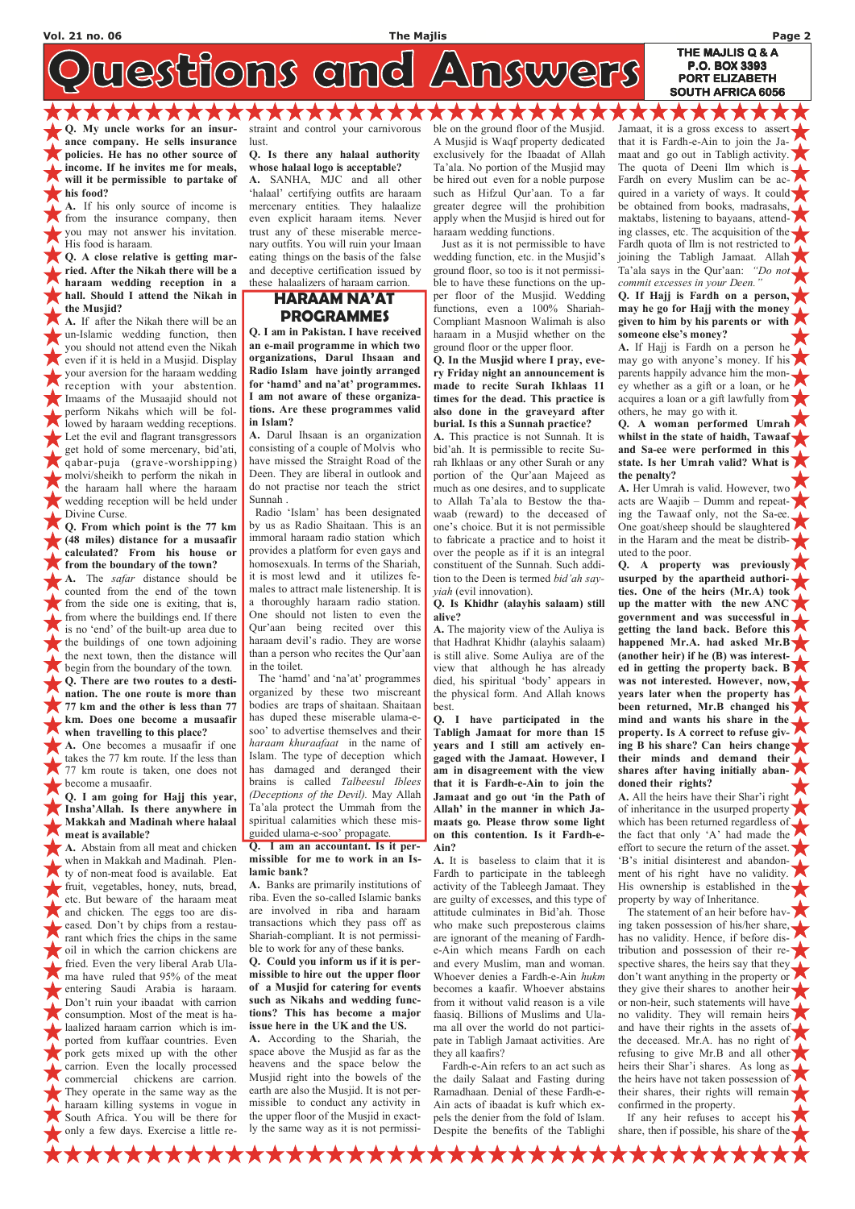westions and Answers

Q. My uncle works for an insurance company. He sells insurance policies. He has no other source of income. If he invites me for meals, will it be permissible to partake of his food?

A. If his only source of income is from the insurance company, then you may not answer his invitation. His food is haraam.

Q. A close relative is getting married. After the Nikah there will be a haraam wedding reception in a hall. Should I attend the Nikah in the Musjid?

A. If after the Nikah there will be an un-Islamic wedding function, then you should not attend even the Nikah even if it is held in a Musjid. Display your aversion for the haraam wedding reception with your abstention. Imaams of the Musaajid should not perform Nikahs which will be followed by haraam wedding receptions. Let the evil and flagrant transgressors get hold of some mercenary, bid'ati, qabar-puja (grave-worshipping) molvi/sheikh to perform the nikah in the haraam hall where the haraam wedding reception will be held under Divine Curse.

A. The *safar* distance should be counted from the end of the town from the side one is exiting, that is, from where the buildings end. If there is no 'end' of the built-up area due to the buildings of one town adjoining the next town, then the distance will begin from the boundary of the town. Q. There are two routes to a destination. The one route is more than 77 km and the other is less than 77 km. Does one become a musaafir when travelling to this place?

A. Abstain from all meat and chicken when in Makkah and Madinah. Plenty of non-meat food is available. Eat fruit, vegetables, honey, nuts, bread, etc. But beware of the haraam meat and chicken. The eggs too are dis**eased.** Don't by chips from a restaurant which fries the chips in the same oil in which the carrion chickens are fried. Even the very liberal Arab Ulama have ruled that 95% of the meat entering Saudi Arabia is haraam. Don't ruin your ibaadat with carrion **CONSUMER FOR A CONSUMPTION.** Most of the meat is halaalized haraam carrion which is imported from kuffaar countries. Even pork gets mixed up with the other carrion. Even the locally processed commercial chickens are carrion. They operate in the same way as the haraam killing systems in vogue in South Africa. You will be there for only a few days. Exercise a little re-

Q. From which point is the 77 km (48 miles) distance for a musaafir calculated? From his house or from the boundary of the town?

A. One becomes a musaafir if one takes the 77 km route. If the less than 77 km route is taken, one does not become a musaafir.

Q. I am going for Hajj this year, Insha'Allah. Is there anywhere in Makkah and Madinah where halaal meat is available?

straint and control your carnivorous lust.

ALAMAN ALAMA

Q. Is there any halaal authority whose halaal logo is acceptable?

A. SANHA, MJC and all other 'halaal' certifying outfits are haraam mercenary entities. They halaalize even explicit haraam items. Never trust any of these miserable mercenary outfits. You will ruin your Imaan eating things on the basis of the false and deceptive certification issued by these halaalizers of haraam carrion.

### HARAAM NA'AT PROGRAMMES

Q. I am in Pakistan. I have received an e-mail programme in which two organizations, Darul Ihsaan and Radio Islam have jointly arranged for 'hamd' and na'at' programmes. I am not aware of these organizations. Are these programmes valid in Islam?

A. Darul Ihsaan is an organization consisting of a couple of Molvis who have missed the Straight Road of the Deen. They are liberal in outlook and do not practise nor teach the strict Sunnah .

 Radio 'Islam' has been designated by us as Radio Shaitaan. This is an immoral haraam radio station which provides a platform for even gays and homosexuals. In terms of the Shariah, it is most lewd and it utilizes females to attract male listenership. It is a thoroughly haraam radio station. One should not listen to even the Qur'aan being recited over this haraam devil's radio. They are worse than a person who recites the Qur'aan in the toilet.

ALAMAN AN Jamaat, it is a gross excess to assert that it is Fardh-e-Ain to join the Jamaat and go out in Tabligh activity. The quota of Deeni Ilm which is Fardh on every Muslim can be acquired in a variety of ways. It could be obtained from books, madrasahs, maktabs, listening to bayaans, attending classes, etc. The acquisition of the Fardh quota of Ilm is not restricted to joining the Tabligh Jamaat. Allah Ta'ala says in the Qur'aan: "Do not commit excesses in your Deen."

THE MAJLIS Q & A P.O. BOX 3393 PORT ELIZABETH SOUTH AFRICA 6056

 The 'hamd' and 'na'at' programmes organized by these two miscreant bodies are traps of shaitaan. Shaitaan has duped these miserable ulama-esoo' to advertise themselves and their haraam khuraafaat in the name of Islam. The type of deception which has damaged and deranged their brains is called Talbeesul Iblees (Deceptions of the Devil). May Allah Ta'ala protect the Ummah from the spiritual calamities which these misguided ulama-e-soo' propagate.

Q. I am an accountant. Is it permissible for me to work in an Islamic bank?

A. Banks are primarily institutions of riba. Even the so-called Islamic banks are involved in riba and haraam transactions which they pass off as Shariah-compliant. It is not permissible to work for any of these banks. Q. Could you inform us if it is permissible to hire out the upper floor of a Musjid for catering for events such as Nikahs and wedding functions? This has become a major issue here in the UK and the US. A. According to the Shariah, the space above the Musjid as far as the heavens and the space below the Musjid right into the bowels of the earth are also the Musjid. It is not permissible to conduct any activity in the upper floor of the Musjid in exactly the same way as it is not permissi-

XXXXXXXX

The statement of an heir before having taken possession of his/her share, has no validity. Hence, if before distribution and possession of their respective shares, the heirs say that they don't want anything in the property or they give their shares to another heir or non-heir, such statements will have no validity. They will remain heirs and have their rights in the assets of the deceased. Mr.A. has no right of refusing to give Mr.B and all other heirs their Shar'i shares. As long as the heirs have not taken possession of their shares, their rights will remain confirmed in the property.

 If any heir refuses to accept his share, then if possible, his share of the  $\blacktriangle$ 

**XXXXXXX** 

ble on the ground floor of the Musjid. A Musjid is Waqf property dedicated exclusively for the Ibaadat of Allah Ta'ala. No portion of the Musjid may be hired out even for a noble purpose such as Hifzul Qur'aan. To a far greater degree will the prohibition apply when the Musjid is hired out for haraam wedding functions.

A A A A A A A A

 Just as it is not permissible to have wedding function, etc. in the Musjid's ground floor, so too is it not permissible to have these functions on the upper floor of the Musjid. Wedding functions, even a 100% Shariah-Compliant Masnoon Walimah is also haraam in a Musjid whether on the ground floor or the upper floor.

Q. In the Musjid where I pray, every Friday night an announcement is made to recite Surah Ikhlaas 11 times for the dead. This practice is also done in the graveyard after burial. Is this a Sunnah practice?

A. This practice is not Sunnah. It is bid'ah. It is permissible to recite Surah Ikhlaas or any other Surah or any portion of the Qur'aan Majeed as much as one desires, and to supplicate to Allah Ta'ala to Bestow the thawaab (reward) to the deceased of one's choice. But it is not permissible to fabricate a practice and to hoist it over the people as if it is an integral constituent of the Sunnah. Such addition to the Deen is termed bid'ah sayyiah (evil innovation).

Q. Is Khidhr (alayhis salaam) still alive?

A. The majority view of the Auliya is that Hadhrat Khidhr (alayhis salaam) is still alive. Some Auliya are of the view that although he has already died, his spiritual 'body' appears in the physical form. And Allah knows best.

Q. I have participated in the Tabligh Jamaat for more than 15 years and I still am actively engaged with the Jamaat. However, I am in disagreement with the view that it is Fardh-e-Ain to join the Jamaat and go out 'in the Path of Allah' in the manner in which Jamaats go. Please throw some light on this contention. Is it Fardh-e-Ain?

A. It is baseless to claim that it is Fardh to participate in the tableegh activity of the Tableegh Jamaat. They are guilty of excesses, and this type of attitude culminates in Bid'ah. Those who make such preposterous claims are ignorant of the meaning of Fardhe-Ain which means Fardh on each and every Muslim, man and woman. Whoever denies a Fardh-e-Ain hukm becomes a kaafir. Whoever abstains from it without valid reason is a vile faasiq. Billions of Muslims and Ulama all over the world do not participate in Tabligh Jamaat activities. Are they all kaafirs? Fardh-e-Ain refers to an act such as the daily Salaat and Fasting during Ramadhaan. Denial of these Fardh-e-Ain acts of ibaadat is kufr which expels the denier from the fold of Islam. Despite the benefits of the Tablighi

XXXXXXXX

Q. If Hajj is Fardh on a person, may he go for Hajj with the money given to him by his parents or with someone else's money?

A. If Hajj is Fardh on a person he may go with anyone's money. If his parents happily advance him the money whether as a gift or a loan, or he acquires a loan or a gift lawfully from others, he may go with it.

Q. A woman performed Umrah whilst in the state of haidh, Tawaaf and Sa-ee were performed in this state. Is her Umrah valid? What is the penalty?

A. Her Umrah is valid. However, two acts are Waajib – Dumm and repeating the Tawaaf only, not the Sa-ee. One goat/sheep should be slaughtered in the Haram and the meat be distributed to the poor.

Q. A property was previously usurped by the apartheid authorities. One of the heirs (Mr.A) took up the matter with the new ANC government and was successful in getting the land back. Before this happened Mr.A. had asked Mr.B (another heir) if he (B) was interested in getting the property back. B was not interested. However, now, years later when the property has been returned, Mr.B changed his mind and wants his share in the property. Is A correct to refuse giving B his share? Can heirs change their minds and demand their shares after having initially abandoned their rights?

A. All the heirs have their Shar'i right of inheritance in the usurped property which has been returned regardless of the fact that only 'A' had made the effort to secure the return of the asset. 'B's initial disinterest and abandonment of his right have no validity. His ownership is established in the property by way of Inheritance.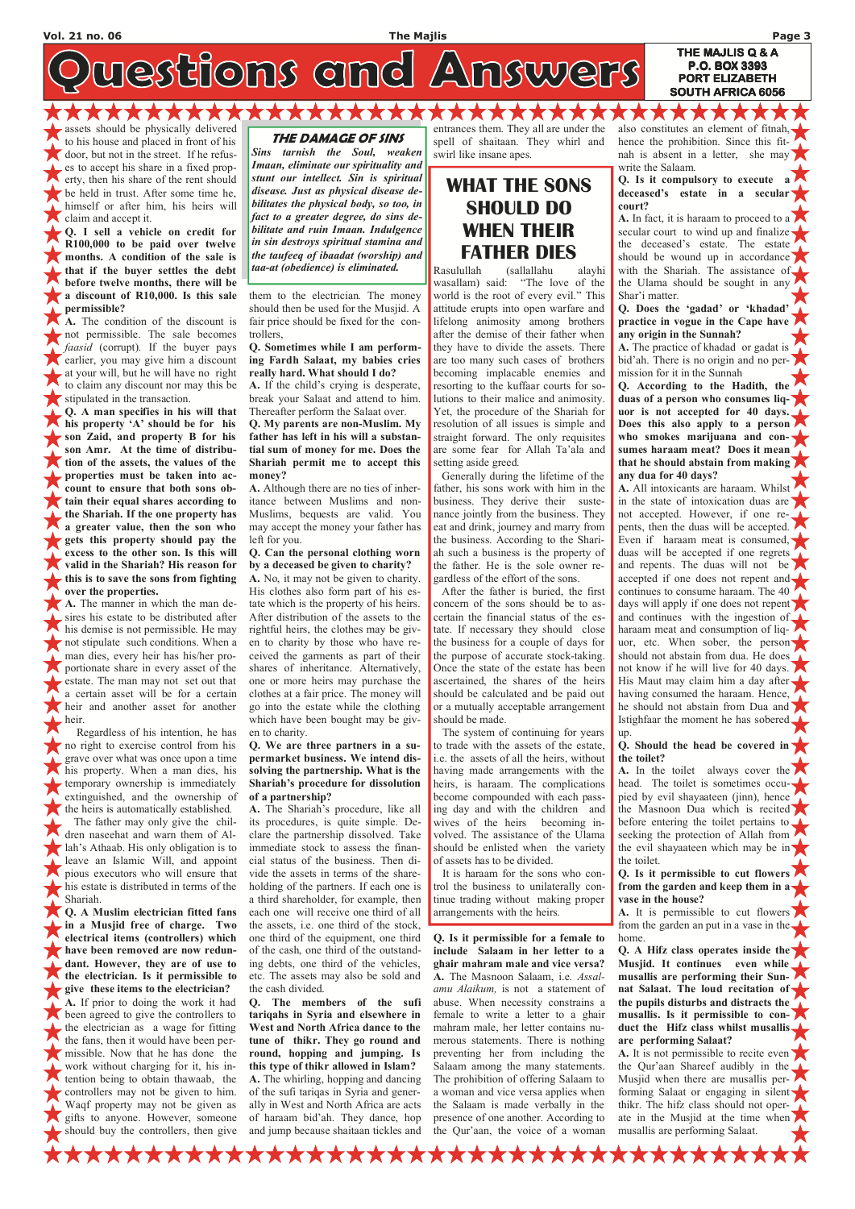westions and Answers

AAAAAAAA assets should be physically delivered to his house and placed in front of his door, but not in the street. If he refuses to accept his share in a fixed property, then his share of the rent should be held in trust. After some time he, himself or after him, his heirs will claim and accept it.

Q. I sell a vehicle on credit for R100,000 to be paid over twelve months. A condition of the sale is that if the buyer settles the debt before twelve months, there will be a discount of R10,000. Is this sale permissible?

A. The condition of the discount is not permissible. The sale becomes faasid (corrupt). If the buyer pays earlier, you may give him a discount at your will, but he will have no right to claim any discount nor may this be stipulated in the transaction.

in a Musjid free of charge. Two electrical items (controllers) which have been removed are now redundant. However, they are of use to the electrician. Is it permissible to give these items to the electrician? A. If prior to doing the work it had been agreed to give the controllers to the electrician as a wage for fitting the fans, then it would have been permissible. Now that he has done the work without charging for it, his intention being to  $e^{kt}$ . tention being to obtain thawaab, the controllers may not be given to him. Waqf property may not be given as gifts to anyone. However, someone should buy the controllers, then give

Q. A man specifies in his will that his property 'A' should be for his son Zaid, and property B for his son Amr. At the time of distribution of the assets, the values of the properties must be taken into account to ensure that both sons obtain their equal shares according to the Shariah. If the one property has a greater value, then the son who gets this property should pay the excess to the other son. Is this will valid in the Shariah? His reason for this is to save the sons from fighting over the properties.

A. The manner in which the man desires his estate to be distributed after his demise is not permissible. He may not stipulate such conditions. When a man dies, every heir has his/her proportionate share in every asset of the estate. The man may not set out that a certain asset will be for a certain heir and another asset for another heir.

 Regardless of his intention, he has no right to exercise control from his grave over what was once upon a time his property. When a man dies, his temporary ownership is immediately extinguished, and the ownership of the heirs is automatically established. The father may only give the children naseehat and warn them of Allah's Athaab. His only obligation is to leave an Islamic Will, and appoint pious executors who will ensure that his estate is distributed in terms of the

Shariah. Q. A Muslim electrician fitted fans them to the electrician. The money should then be used for the Musjid. A fair price should be fixed for the controllers,

#### Q. Sometimes while I am performing Fardh Salaat, my babies cries really hard. What should I do?

A. If the child's crying is desperate, break your Salaat and attend to him. Thereafter perform the Salaat over.

Q. My parents are non-Muslim. My father has left in his will a substantial sum of money for me. Does the Shariah permit me to accept this money?

A. Although there are no ties of inheritance between Muslims and non-Muslims, bequests are valid. You may accept the money your father has left for you.

#### Q. Can the personal clothing worn by a deceased be given to charity?

A. No, it may not be given to charity. His clothes also form part of his estate which is the property of his heirs. After distribution of the assets to the rightful heirs, the clothes may be given to charity by those who have received the garments as part of their shares of inheritance. Alternatively, one or more heirs may purchase the clothes at a fair price. The money will go into the estate while the clothing which have been bought may be given to charity.

#### Q. We are three partners in a supermarket business. We intend dissolving the partnership. What is the Shariah's procedure for dissolution of a partnership?

A. The Shariah's procedure, like all its procedures, is quite simple. Declare the partnership dissolved. Take immediate stock to assess the financial status of the business. Then divide the assets in terms of the shareholding of the partners. If each one is a third shareholder, for example, then each one will receive one third of all the assets, i.e. one third of the stock, one third of the equipment, one third of the cash, one third of the outstanding debts, one third of the vehicles, etc. The assets may also be sold and the cash divided. Q. The members of the sufi tariqahs in Syria and elsewhere in West and North Africa dance to the tune of thikr. They go round and round, hopping and jumping. Is this type of thikr allowed in Islam? A. The whirling, hopping and dancing of the sufi tariqas in Syria and generally in West and North Africa are acts of haraam bid'ah. They dance, hop and jump because shaitaan tickles and

A. In the toilet always cover the head. The toilet is sometimes occupied by evil shayaateen (jinn), hence the Masnoon Dua which is recited before entering the toilet pertains to. seeking the protection of Allah from the evil shayaateen which may be in the toilet.

entrances them. They all are under the spell of shaitaan. They whirl and swirl like insane apes.

## WHAT THE SONS SHOULD DO WHEN THEIR FATHER DIES

Rasulullah (sallallahu alayhi wasallam) said: "The love of the world is the root of every evil." This attitude erupts into open warfare and lifelong animosity among brothers after the demise of their father when they have to divide the assets. There are too many such cases of brothers becoming implacable enemies and resorting to the kuffaar courts for solutions to their malice and animosity. Yet, the procedure of the Shariah for resolution of all issues is simple and straight forward. The only requisites are some fear for Allah Ta'ala and setting aside greed.

 Generally during the lifetime of the father, his sons work with him in the business. They derive their sustenance jointly from the business. They eat and drink, journey and marry from the business. According to the Shariah such a business is the property of the father. He is the sole owner regardless of the effort of the sons.

 After the father is buried, the first concern of the sons should be to ascertain the financial status of the estate. If necessary they should close the business for a couple of days for the purpose of accurate stock-taking. Once the state of the estate has been ascertained, the shares of the heirs should be calculated and be paid out or a mutually acceptable arrangement should be made.

 The system of continuing for years to trade with the assets of the estate, i.e. the assets of all the heirs, without having made arrangements with the heirs, is haraam. The complications become compounded with each passing day and with the children and wives of the heirs becoming involved. The assistance of the Ulama should be enlisted when the variety of assets has to be divided.

 It is haraam for the sons who control the business to unilaterally continue trading without making proper arrangements with the heirs.

Q. Is it permissible for a female to include Salaam in her letter to a ghair mahram male and vice versa? A. The Masnoon Salaam, i.e. Assalamu Alaikum, is not a statement of abuse. When necessity constrains a female to write a letter to a ghair mahram male, her letter contains numerous statements. There is nothing preventing her from including the Salaam among the many statements. The prohibition of offering Salaam to a woman and vice versa applies when the Salaam is made verbally in the presence of one another. According to the Qur'aan, the voice of a woman

also constitutes an element of fitnah, hence the prohibition. Since this fitnah is absent in a letter, she may write the Salaam.

THE MAJLIS Q & A P.O. BOX 3393 PORT ELIZABETH SOUTH AFRICA 6056

#### Q. Is it compulsory to execute a deceased's estate in a secular court?

A. In fact, it is haraam to proceed to a secular court to wind up and finalize the deceased's estate. The estate should be wound up in accordance with the Shariah. The assistance of. the Ulama should be sought in any Shar'i matter.

Q. Does the 'gadad' or 'khadad' practice in vogue in the Cape have any origin in the Sunnah?

A. The practice of khadad or gadat is bid'ah. There is no origin and no permission for it in the Sunnah

Q. According to the Hadith, the duas of a person who consumes liquor is not accepted for 40 days. Does this also apply to a person who smokes marijuana and consumes haraam meat? Does it mean that he should abstain from making any dua for 40 days?

A. All intoxicants are haraam. Whilst in the state of intoxication duas are not accepted. However, if one repents, then the duas will be accepted. Even if haraam meat is consumed, duas will be accepted if one regrets and repents. The duas will not be accepted if one does not repent and continues to consume haraam. The 40 days will apply if one does not repent and continues with the ingestion of haraam meat and consumption of liquor, etc. When sober, the person should not abstain from dua. He does not know if he will live for 40 days. His Maut may claim him a day after having consumed the haraam. Hence, he should not abstain from Dua and Istighfaar the moment he has sobered up.

#### Q. Should the head be covered in the toilet?

Q. Is it permissible to cut flowers from the garden and keep them in  $a_{\overline{2}}$ vase in the house?

A. It is permissible to cut flowers from the garden an put in a vase in the home.

Q. A Hifz class operates inside the Musjid. It continues even while musallis are performing their Sunnat Salaat. The loud recitation of the pupils disturbs and distracts the musallis. Is it permissible to conduct the Hifz class whilst musallis are performing Salaat?

A. It is not permissible to recite even the Qur'aan Shareef audibly in the Musjid when there are musallis performing Salaat or engaging in silent thikr. The hifz class should not operate in the Musjid at the time when musallis are performing Salaat.

#### THE DAMAGE OF SINS

Sins tarnish the Soul, weaken Imaan, eliminate our spirituality and stunt our intellect. Sin is spiritual disease. Just as physical disease debilitates the physical body, so too, in fact to a greater degree, do sins debilitate and ruin Imaan. Indulgence in sin destroys spiritual stamina and the taufeeq of ibaadat (worship) and taa-at (obedience) is eliminated.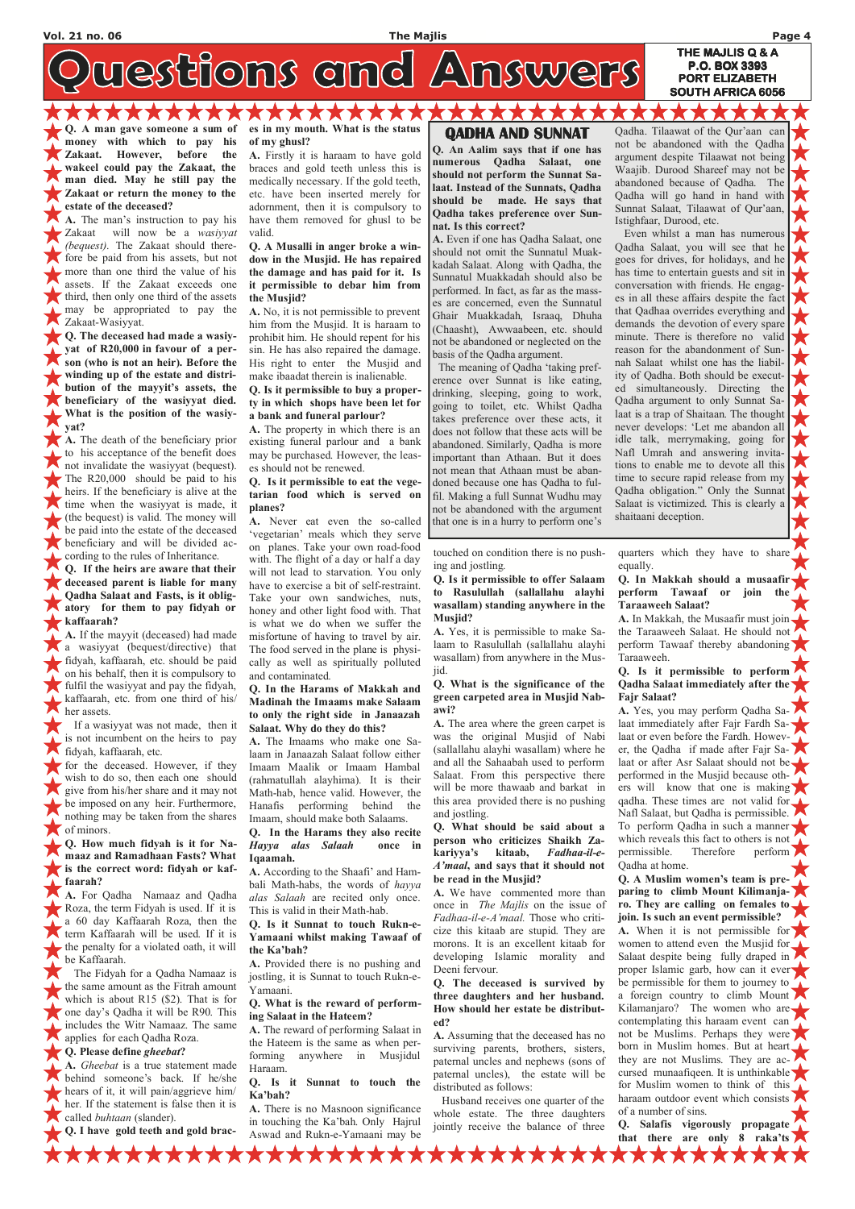westions and Answers

ACADEMY AND A Q. A man gave someone a sum of money with which to pay his Zakaat. However, before the wakeel could pay the Zakaat, the man died. May he still pay the Zakaat or return the money to the

estate of the deceased? A. The man's instruction to pay his Zakaat will now be a wasiyyat (bequest). The Zakaat should therefore be paid from his assets, but not more than one third the value of his assets. If the Zakaat exceeds one third, then only one third of the assets may be appropriated to pay the Zakaat-Wasiyyat.

Q. The deceased had made a wasiyyat of R20,000 in favour of a person (who is not an heir). Before the winding up of the estate and distribution of the mayyit's assets, the beneficiary of the wasiyyat died. What is the position of the wasiyyat?

for the deceased. However, if they wish to do so, then each one should give from his/her share and it may not be imposed on any heir. Furthermore, nothing may be taken from the shares of minors.

A. The death of the beneficiary prior to his acceptance of the benefit does not invalidate the wasiyyat (bequest). The R20,000 should be paid to his heirs. If the beneficiary is alive at the time when the wasiyyat is made, it (the bequest) is valid. The money will be paid into the estate of the deceased beneficiary and will be divided according to the rules of Inheritance.

Q. If the heirs are aware that their deceased parent is liable for many Qadha Salaat and Fasts, is it obligatory for them to pay fidyah or kaffaarah?

A. If the mayyit (deceased) had made a wasiyyat (bequest/directive) that fidyah, kaffaarah, etc. should be paid on his behalf, then it is compulsory to fulfil the wasiyyat and pay the fidyah, kaffaarah, etc. from one third of his/ her assets.

 If a wasiyyat was not made, then it is not incumbent on the heirs to pay fidyah, kaffaarah, etc.

Q. How much fidyah is it for Namaaz and Ramadhaan Fasts? What is the correct word: fidyah or kaffaarah?

A. For Qadha Namaaz and Qadha Roza, the term Fidyah is used. If it is a 60 day Kaffaarah Roza, then the term Kaffaarah will be used. If it is the penalty for a violated oath, it will be Kaffaarah. The Fidyah for a Qadha Namaaz is the same amount as the Fitrah amount which is about R15 (\$2). That is for one day's Qadha it will be R90. This includes the Witr Namaaz. The same applies for each Qadha Roza. Q. Please define gheebat?

es in my mouth. What is the status of my ghusl?

A. Firstly it is haraam to have gold braces and gold teeth unless this is medically necessary. If the gold teeth, etc. have been inserted merely for adornment, then it is compulsory to have them removed for ghusl to be valid.

Q. A Musalli in anger broke a window in the Musjid. He has repaired the damage and has paid for it. Is it permissible to debar him from the Musjid?

A. No, it is not permissible to prevent him from the Musjid. It is haraam to prohibit him. He should repent for his sin. He has also repaired the damage. His right to enter the Musjid and make ibaadat therein is inalienable.

#### Q. Is it permissible to buy a property in which shops have been let for a bank and funeral parlour?

A. The property in which there is an existing funeral parlour and a bank may be purchased. However, the leases should not be renewed.

#### Q. Is it permissible to eat the vegetarian food which is served on planes?

A. Never eat even the so-called 'vegetarian' meals which they serve on planes. Take your own road-food with. The flight of a day or half a day will not lead to starvation. You only have to exercise a bit of self-restraint. Take your own sandwiches, nuts, honey and other light food with. That is what we do when we suffer the misfortune of having to travel by air. The food served in the plane is physically as well as spiritually polluted and contaminated.

#### Q. In the Harams of Makkah and Madinah the Imaams make Salaam to only the right side in Janaazah Salaat. Why do they do this?

A. The Imaams who make one Salaam in Janaazah Salaat follow either Imaam Maalik or Imaam Hambal (rahmatullah alayhima). It is their Math-hab, hence valid. However, the Hanafis performing behind the Imaam, should make both Salaams.

#### Q. In the Harams they also recite Hayya alas Salaah once in Iqaamah.

A. According to the Shaafi' and Hambali Math-habs, the words of hayya alas Salaah are recited only once. This is valid in their Math-hab.

Q. Is it Sunnat to touch Rukn-e-Yamaani whilst making Tawaaf of the Ka'bah?

A. Provided there is no pushing and jostling, it is Sunnat to touch Rukn-e-Yamaani.

Q. What is the reward of performing Salaat in the Hateem?

A. The reward of performing Salaat in the Hateem is the same as when performing anywhere in Musjidul Haraam.

Q. Is it Sunnat to touch the Ka'bah?

A. There is no Masnoon significance in touching the Ka'bah. Only Hajrul Aswad and Rukn-e-Yamaani may be touched on condition there is no pushing and jostling.

Q. Is it permissible to offer Salaam to Rasulullah (sallallahu alayhi wasallam) standing anywhere in the Musjid?

A. Yes, it is permissible to make Salaam to Rasulullah (sallallahu alayhi wasallam) from anywhere in the Musjid.

#### Q. What is the significance of the green carpeted area in Musjid Nabawi?

A. The area where the green carpet is was the original Musjid of Nabi (sallallahu alayhi wasallam) where he and all the Sahaabah used to perform Salaat. From this perspective there will be more thawaab and barkat in this area provided there is no pushing and jostling.

#### Q. What should be said about a person who criticizes Shaikh Zakariyya's kitaab, Fadhaa-il-e-A'maal, and says that it should not be read in the Musjid?

A. We have commented more than once in The Majlis on the issue of Fadhaa-il-e-A'maal. Those who criticize this kitaab are stupid. They are morons. It is an excellent kitaab for developing Islamic morality and Deeni fervour.

Q. The deceased is survived by three daughters and her husband. How should her estate be distributed?

A. Assuming that the deceased has no surviving parents, brothers, sisters, paternal uncles and nephews (sons of paternal uncles), the estate will be distributed as follows:

 Husband receives one quarter of the whole estate. The three daughters jointly receive the balance of three

**XXXXXXX** 

quarters which they have to share equally.

Q. In Makkah should a musaafir perform Tawaaf or join the Taraaweeh Salaat?

A. In Makkah, the Musaafir must join the Taraaweeh Salaat. He should not perform Tawaaf thereby abandoning Taraaweeh.

#### Q. Is it permissible to perform Qadha Salaat immediately after the Fajr Salaat?

A. Yes, you may perform Qadha Salaat immediately after Fajr Fardh Salaat or even before the Fardh. However, the Qadha if made after Fajr Salaat or after Asr Salaat should not be performed in the Musjid because others will know that one is making qadha. These times are not valid for Nafl Salaat, but Qadha is permissible. To perform Qadha in such a manner which reveals this fact to others is not permissible. Therefore perform Qadha at home.

Q. A Muslim women's team is preparing to climb Mount Kilimanjaro. They are calling on females to join. Is such an event permissible? A. When it is not permissible for women to attend even the Musjid for Salaat despite being fully draped in proper Islamic garb, how can it ever be permissible for them to journey to a foreign country to climb Mount Kilamanjaro? The women who are contemplating this haraam event can not be Muslims. Perhaps they were born in Muslim homes. But at heart they are not Muslims. They are accursed munaafiqeen. It is unthinkable for Muslim women to think of this haraam outdoor event which consists of a number of sins.

A. Gheebat is a true statement made behind someone's back. If he/she hears of it, it will pain/aggrieve him/ her. If the statement is false then it is called *buhtaan* (slander).

Q. I have gold teeth and gold brac-

**XXXXXXXXX** 

Q. Salafis vigorously propagate that there are only 8 raka'ts

### QADHA AND SUNNAT QADHA

Q. An Aalim says that if one has numerous Qadha Salaat, one should not perform the Sunnat Salaat. Instead of the Sunnats, Qadha should be made. He says that Qadha takes preference over Sunnat. Is this correct?

A. Even if one has Qadha Salaat, one should not omit the Sunnatul Muakkadah Salaat. Along with Qadha, the Sunnatul Muakkadah should also be performed. In fact, as far as the masses are concerned, even the Sunnatul Ghair Muakkadah, Israaq, Dhuha (Chaasht), Awwaabeen, etc. should not be abandoned or neglected on the basis of the Qadha argument.

 The meaning of Qadha 'taking preference over Sunnat is like eating, drinking, sleeping, going to work, going to toilet, etc. Whilst Qadha takes preference over these acts, it does not follow that these acts will be abandoned. Similarly, Qadha is more important than Athaan. But it does not mean that Athaan must be abandoned because one has Qadha to fulfil. Making a full Sunnat Wudhu may not be abandoned with the argument that one is in a hurry to perform one's

Qadha. Tilaawat of the Qur'aan can not be abandoned with the Qadha argument despite Tilaawat not being Waajib. Durood Shareef may not be abandoned because of Qadha. The Qadha will go hand in hand with Sunnat Salaat, Tilaawat of Qur'aan, Istighfaar, Durood, etc.

P.O. BOX 3393 PORT ELIZABETH SOUTH AFRICA 6056

 Even whilst a man has numerous Qadha Salaat, you will see that he goes for drives, for holidays, and he has time to entertain guests and sit in conversation with friends. He engages in all these affairs despite the fact that Qadhaa overrides everything and demands the devotion of every spare minute. There is therefore no valid reason for the abandonment of Sunnah Salaat whilst one has the liability of Qadha. Both should be executed simultaneously. Directing the Qadha argument to only Sunnat Salaat is a trap of Shaitaan. The thought never develops: 'Let me abandon all idle talk, merrymaking, going for Nafl Umrah and answering invitations to enable me to devote all this time to secure rapid release from my Qadha obligation." Only the Sunnat Salaat is victimized. This is clearly a shaitaani deception.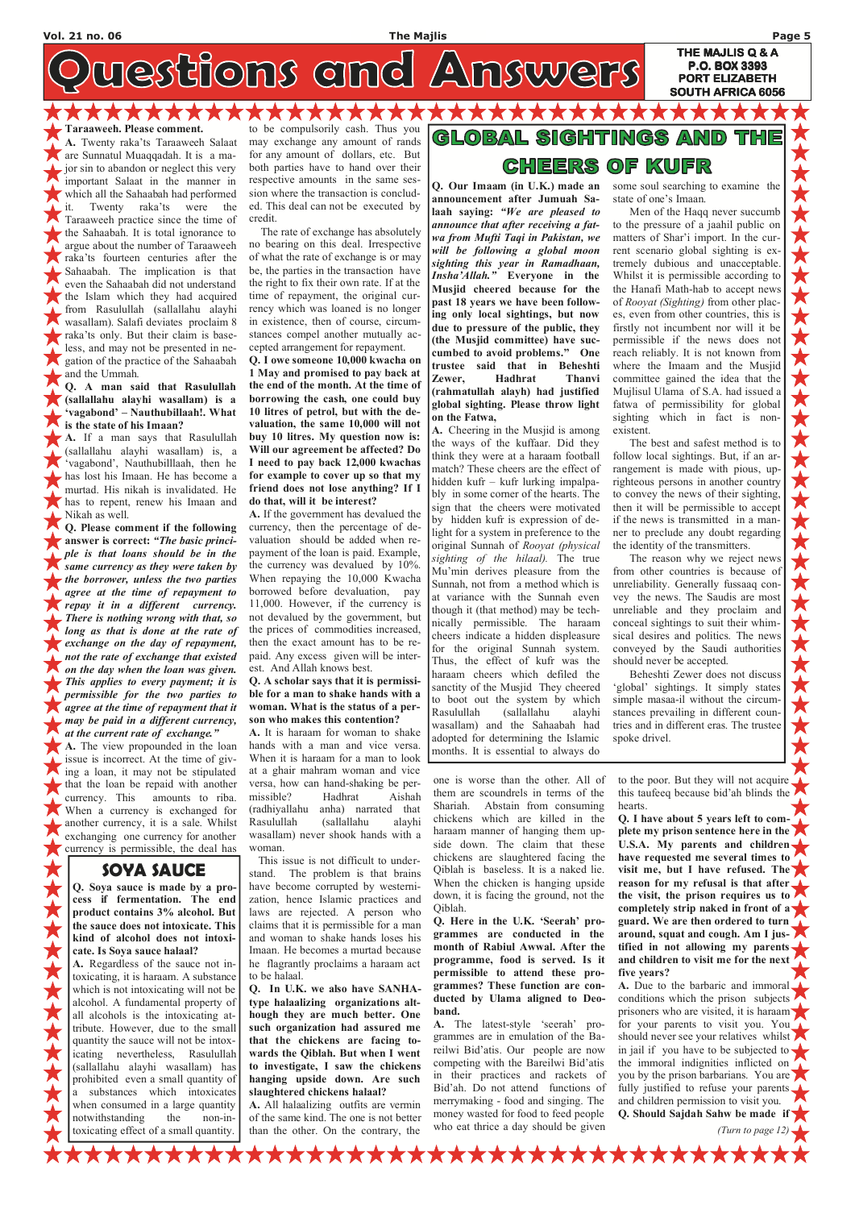westfloms amd Answers

Taraaweeh. Please comment.

A. Twenty raka'ts Taraaweeh Salaat are Sunnatul Muaqqadah. It is a major sin to abandon or neglect this very important Salaat in the manner in which all the Sahaabah had performed it. Twenty raka'ts were the Taraaweeh practice since the time of the Sahaabah. It is total ignorance to argue about the number of Taraaweeh raka'ts fourteen centuries after the Sahaabah. The implication is that even the Sahaabah did not understand the Islam which they had acquired from Rasulullah (sallallahu alayhi wasallam). Salafi deviates proclaim 8 raka'ts only. But their claim is baseless, and may not be presented in negation of the practice of the Sahaabah and the Ummah.

Q. A man said that Rasulullah (sallallahu alayhi wasallam) is a 'vagabond' – Nauthubillaah!. What is the state of his Imaan?

A. If a man says that Rasulullah (sallallahu alayhi wasallam) is, a 'vagabond', Nauthubilllaah, then he has lost his Imaan. He has become a murtad. His nikah is invalidated. He has to repent, renew his Imaan and Nikah as well.

Q. Please comment if the following answer is correct: "The basic principle is that loans should be in the same currency as they were taken by the borrower, unless the two parties agree at the time of repayment to repay it in a different currency. There is nothing wrong with that, so long as that is done at the rate of **Exchange on the day of repayment,** not the rate of exchange that existed on the day when the loan was given. This applies to every payment; it is permissible for the two parties to agree at the time of repayment that it may be paid in a different currency, at the current rate of exchange."

A. The view propounded in the loan issue is incorrect. At the time of giving a loan, it may not be stipulated that the loan be repaid with another currency. This amounts to riba. When a currency is exchanged for another currency, it is a sale. Whilst exchanging one currency for another currency is permissible, the deal has

to be compulsorily cash. Thus you may exchange any amount of rands for any amount of dollars, etc. But both parties have to hand over their respective amounts in the same session where the transaction is concluded. This deal can not be executed by credit.

**XXXXXXX** 

 The rate of exchange has absolutely no bearing on this deal. Irrespective of what the rate of exchange is or may be, the parties in the transaction have the right to fix their own rate. If at the time of repayment, the original currency which was loaned is no longer in existence, then of course, circumstances compel another mutually accepted arrangement for repayment.

Q. I owe someone 10,000 kwacha on 1 May and promised to pay back at the end of the month. At the time of borrowing the cash, one could buy 10 litres of petrol, but with the devaluation, the same 10,000 will not buy 10 litres. My question now is: Will our agreement be affected? Do I need to pay back 12,000 kwachas for example to cover up so that my friend does not lose anything? If I do that, will it be interest?

A. If the government has devalued the currency, then the percentage of devaluation should be added when repayment of the loan is paid. Example, the currency was devalued by 10%. When repaying the 10,000 Kwacha borrowed before devaluation, pay 11,000. However, if the currency is not devalued by the government, but the prices of commodities increased, then the exact amount has to be repaid. Any excess given will be interest. And Allah knows best.

#### Q. A scholar says that it is permissible for a man to shake hands with a woman. What is the status of a person who makes this contention?

A. It is haraam for woman to shake hands with a man and vice versa. When it is haraam for a man to look at a ghair mahram woman and vice versa, how can hand-shaking be permissible? Hadhrat Aishah (radhiyallahu anha) narrated that Rasulullah (sallallahu alayhi wasallam) never shook hands with a woman.

 This issue is not difficult to understand. The problem is that brains have become corrupted by westernization, hence Islamic practices and laws are rejected. A person who claims that it is permissible for a man and woman to shake hands loses his Imaan. He becomes a murtad because he flagrantly proclaims a haraam act to be halaal. Q. In U.K. we also have SANHAtype halaalizing organizations although they are much better. One such organization had assured me that the chickens are facing towards the Qiblah. But when I went to investigate, I saw the chickens hanging upside down. Are such slaughtered chickens halaal?

#### GLOB GHTINGS AND OF KUFR CHEERS

A. All halaalizing outfits are vermin of the same kind. The one is not better than the other. On the contrary, the

(Turn to page 12)  $\sqrt{\frac{1}{\sqrt{2}}}$ 

\*\*\*\*\*\*\*\*\*\*\*\*\*\*\*\*\*

one is worse than the other. All of them are scoundrels in terms of the Shariah. Abstain from consuming chickens which are killed in the haraam manner of hanging them upside down. The claim that these chickens are slaughtered facing the Qiblah is baseless. It is a naked lie. When the chicken is hanging upside down, it is facing the ground, not the Qiblah. Q. Here in the U.K. 'Seerah' programmes are conducted in the month of Rabiul Awwal. After the programme, food is served. Is it permissible to attend these programmes? These function are conducted by Ulama aligned to Deoband. A. The latest-style 'seerah' programmes are in emulation of the Bareilwi Bid'atis. Our people are now competing with the Bareilwi Bid'atis in their practices and rackets of Bid'ah. Do not attend functions of merrymaking - food and singing. The money wasted for food to feed people who eat thrice a day should be given

to the poor. But they will not acquire this taufeeq because bid'ah blinds the hearts.

Q. I have about 5 years left to complete my prison sentence here in the U.S.A. My parents and children have requested me several times to visit me, but I have refused. The reason for my refusal is that after the visit, the prison requires us to completely strip naked in front of a guard. We are then ordered to turn around, squat and cough. Am I jus- $\blacktriangleright$ tified in not allowing my parents and children to visit me for the next five years? A. Due to the barbaric and immoral conditions which the prison subjects prisoners who are visited, it is haraam for your parents to visit you. You should never see your relatives whilst in jail if you have to be subjected to  $\blacktriangleright$ the immoral indignities inflicted on you by the prison barbarians. You are fully justified to refuse your parents and children permission to visit you. Q. Should Sajdah Sahw be made if

Q. Our Imaam (in U.K.) made an announcement after Jumuah Salaah saying: "We are pleased to announce that after receiving a fatwa from Mufti Taqi in Pakistan, we will be following a global moon sighting this year in Ramadhaan, Insha'Allah." Everyone in the Musjid cheered because for the past 18 years we have been following only local sightings, but now due to pressure of the public, they (the Musjid committee) have succumbed to avoid problems." One trustee said that in Beheshti Zewer, Hadhrat Thanvi (rahmatullah alayh) had justified global sighting. Please throw light on the Fatwa,

A. Cheering in the Musjid is among the ways of the kuffaar. Did they think they were at a haraam football match? These cheers are the effect of hidden kufr – kufr lurking impalpably in some corner of the hearts. The sign that the cheers were motivated by hidden kufr is expression of delight for a system in preference to the original Sunnah of Rooyat (physical sighting of the hilaal). The true Mu'min derives pleasure from the Sunnah, not from a method which is at variance with the Sunnah even though it (that method) may be technically permissible. The haraam cheers indicate a hidden displeasure for the original Sunnah system. Thus, the effect of kufr was the haraam cheers which defiled the sanctity of the Musjid They cheered to boot out the system by which Rasulullah (sallallahu alayhi wasallam) and the Sahaabah had adopted for determining the Islamic months. It is essential to always do

some soul searching to examine the state of one's Imaan.

THE MAJLIS Q & A P.O. BOX 3393 PORT ELIZABETH SOUTH AFRICA 6056

 Men of the Haqq never succumb to the pressure of a jaahil public on matters of Shar'i import. In the current scenario global sighting is extremely dubious and unacceptable. Whilst it is permissible according to the Hanafi Math-hab to accept news of Rooyat (Sighting) from other places, even from other countries, this is firstly not incumbent nor will it be permissible if the news does not reach reliably. It is not known from where the Imaam and the Musjid committee gained the idea that the Mujlisul Ulama of S.A. had issued a fatwa of permissibility for global sighting which in fact is nonexistent.

 The best and safest method is to follow local sightings. But, if an arrangement is made with pious, uprighteous persons in another country to convey the news of their sighting, then it will be permissible to accept if the news is transmitted in a manner to preclude any doubt regarding the identity of the transmitters.

 The reason why we reject news from other countries is because of unreliability. Generally fussaaq convey the news. The Saudis are most unreliable and they proclaim and conceal sightings to suit their whimsical desires and politics. The news conveyed by the Saudi authorities should never be accepted.

 Beheshti Zewer does not discuss 'global' sightings. It simply states simple masaa-il without the circumstances prevailing in different countries and in different eras. The trustee spoke drivel.

### SOYA SAUCE

Q. Soya sauce is made by a process if fermentation. The end product contains 3% alcohol. But 《大大大大大大大大大大 the sauce does not intoxicate. This kind of alcohol does not intoxicate. Is Soya sauce halaal? A. Regardless of the sauce not intoxicating, it is haraam. A substance which is not intoxicating will not be alcohol. A fundamental property of all alcohols is the intoxicating attribute. However, due to the small quantity the sauce will not be intoxicating nevertheless, Rasulullah (sallallahu alayhi wasallam) has prohibited even a small quantity of a substances which intoxicates when consumed in a large quantity notwithstanding the non-intoxicating effect of a small quantity.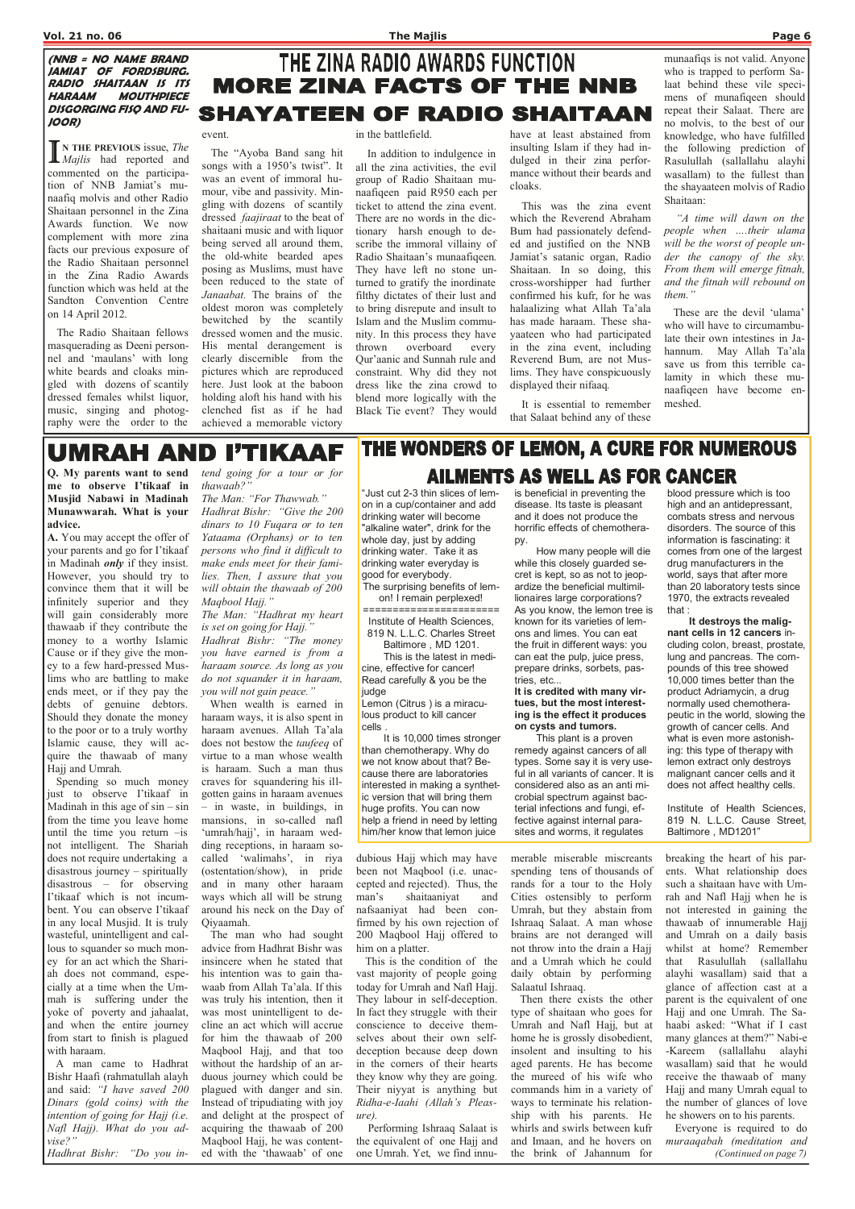#### (NNB = NO NAME BRAND JAMIAT OF FORDSBURG. RADIO SHAITAAN IS ITS HARAAM MOUTHPIECE DISGORGING FISQ AND FU-JOOR)

 $\prod_{\lambda}^{\infty}$ N THE PREVIOUS issue, The **II** Majlis had reported and commented on the participation of NNB Jamiat's munaafiq molvis and other Radio Shaitaan personnel in the Zina Awards function. We now complement with more zina facts our previous exposure of the Radio Shaitaan personnel in the Zina Radio Awards function which was held at the Sandton Convention Centre on 14 April 2012.

 The Radio Shaitaan fellows masquerading as Deeni personnel and 'maulans' with long white beards and cloaks mingled with dozens of scantily dressed females whilst liquor, music, singing and photography were the order to the

#### event.

 The "Ayoba Band sang hit songs with a 1950's twist". It was an event of immoral humour, vibe and passivity. Mingling with dozens of scantily dressed faajiraat to the beat of shaitaani music and with liquor being served all around them, the old-white bearded apes posing as Muslims, must have been reduced to the state of Janaabat. The brains of the oldest moron was completely bewitched by the scantily dressed women and the music. His mental derangement is clearly discernible from the pictures which are reproduced here. Just look at the baboon holding aloft his hand with his clenched fist as if he had achieved a memorable victory

#### in the battlefield.

 In addition to indulgence in all the zina activities, the evil group of Radio Shaitaan munaafiqeen paid R950 each per ticket to attend the zina event. There are no words in the dictionary harsh enough to describe the immoral villainy of Radio Shaitaan's munaafiqeen. They have left no stone unturned to gratify the inordinate filthy dictates of their lust and to bring disrepute and insult to Islam and the Muslim community. In this process they have thrown overboard every Qur'aanic and Sunnah rule and constraint. Why did they not dress like the zina crowd to blend more logically with the Black Tie event? They would

have at least abstained from insulting Islam if they had indulged in their zina performance without their beards and cloaks.

 This was the zina event which the Reverend Abraham Bum had passionately defended and justified on the NNB Jamiat's satanic organ, Radio Shaitaan. In so doing, this cross-worshipper had further confirmed his kufr, for he was halaalizing what Allah Ta'ala has made haraam. These shayaateen who had participated in the zina event, including Reverend Bum, are not Muslims. They have conspicuously displayed their nifaaq.

tend going for a tour or for thawaab?

 It is essential to remember that Salaat behind any of these munaafiqs is not valid. Anyone who is trapped to perform Salaat behind these vile specimens of munafiqeen should repeat their Salaat. There are no molvis, to the best of our knowledge, who have fulfilled the following prediction of Rasulullah (sallallahu alayhi wasallam) to the fullest than the shayaateen molvis of Radio Shaitaan:

 "A time will dawn on the people when ….their ulama will be the worst of people under the canopy of the sky. From them will emerge fitnah, and the fitnah will rebound on them."

 These are the devil 'ulama' who will have to circumambulate their own intestines in Jahannum. May Allah Ta'ala save us from this terrible calamity in which these munaafiqeen have become enmeshed.

## **UMRAH AND I'TIKAAF**

Q. My parents want to send me to observe I'tikaaf in Musjid Nabawi in Madinah Munawwarah. What is your advice.

A. You may accept the offer of your parents and go for I'tikaaf in Madinah *only* if they insist. However, you should try to convince them that it will be infinitely superior and they will gain considerably more thawaab if they contribute the money to a worthy Islamic Cause or if they give the money to a few hard-pressed Muslims who are battling to make ends meet, or if they pay the debts of genuine debtors. Should they donate the money to the poor or to a truly worthy Islamic cause, they will acquire the thawaab of many Hajj and Umrah.

 Spending so much money just to observe I'tikaaf in Madinah in this age of  $sin - sin$ from the time you leave home until the time you return –is not intelligent. The Shariah does not require undertaking a disastrous journey – spiritually disastrous – for observing I'tikaaf which is not incumbent. You can observe I'tikaaf in any local Musjid. It is truly wasteful, unintelligent and callous to squander so much money for an act which the Shariah does not command, especially at a time when the Ummah is suffering under the yoke of poverty and jahaalat, and when the entire journey from start to finish is plagued with haraam. A man came to Hadhrat Bishr Haafi (rahmatullah alayh and said: "I have saved 200 Dinars (gold coins) with the intention of going for Hajj (i.e. Nafl Hajj). What do you advise?"

The Man: "For Thawwab." Hadhrat Bishr: "Give the 200 dinars to 10 Fuqara or to ten Yataama (Orphans) or to ten persons who find it difficult to make ends meet for their families. Then, I assure that you will obtain the thawaab of 200 Maqbool Hajj."

The Man: "Hadhrat my heart is set on going for Hajj."

Hadhrat Bishr: "The money you have earned is from a haraam source. As long as you do not squander it in haraam, you will not gain peace."

 When wealth is earned in haraam ways, it is also spent in haraam avenues. Allah Ta'ala does not bestow the taufeeq of virtue to a man whose wealth is haraam. Such a man thus craves for squandering his illgotten gains in haraam avenues – in waste, in buildings, in mansions, in so-called nafl 'umrah/hajj', in haraam wedding receptions, in haraam socalled 'walimahs', in riya (ostentation/show), in pride and in many other haraam ways which all will be strung around his neck on the Day of

## THE WONDERS OF LEMON, A CURE FOR NUMEROUS **AILMENTS AS WELL AS FOR CANCER**

Hadhrat Bishr: "Do you ined with the 'thawaab' of one

Qiyaamah.

 The man who had sought advice from Hadhrat Bishr was insincere when he stated that his intention was to gain thawaab from Allah Ta'ala. If this was truly his intention, then it was most unintelligent to decline an act which will accrue for him the thawaab of 200 Maqbool Hajj, and that too without the hardship of an arduous journey which could be plagued with danger and sin. Instead of tripudiating with joy and delight at the prospect of acquiring the thawaab of 200 Maqbool Hajj, he was contentdubious Hajj which may have been not Maqbool (i.e. unaccepted and rejected). Thus, the man's shaitaaniyat and nafsaaniyat had been con-

firmed by his own rejection of 200 Maqbool Hajj offered to him on a platter.

 This is the condition of the vast majority of people going today for Umrah and Nafl Hajj. They labour in self-deception. In fact they struggle with their conscience to deceive themselves about their own selfdeception because deep down in the corners of their hearts they know why they are going. Their niyyat is anything but Ridha-e-Iaahi (Allah's Pleasure).

 Performing Ishraaq Salaat is the equivalent of one Hajj and one Umrah. Yet, we find innumerable miserable miscreants spending tens of thousands of rands for a tour to the Holy Cities ostensibly to perform Umrah, but they abstain from Ishraaq Salaat. A man whose brains are not deranged will not throw into the drain a Hajj and a Umrah which he could daily obtain by performing Salaatul Ishraaq. Then there exists the other type of shaitaan who goes for Umrah and Nafl Hajj, but at home he is grossly disobedient, insolent and insulting to his aged parents. He has become the mureed of his wife who commands him in a variety of ways to terminate his relationship with his parents. He whirls and swirls between kufr and Imaan, and he hovers on the brink of Jahannum for

breaking the heart of his parents. What relationship does such a shaitaan have with Umrah and Nafl Hajj when he is not interested in gaining the thawaab of innumerable Hajj and Umrah on a daily basis whilst at home? Remember that Rasulullah (sallallahu alayhi wasallam) said that a glance of affection cast at a parent is the equivalent of one Hajj and one Umrah. The Sahaabi asked: "What if I cast many glances at them?" Nabi-e -Kareem (sallallahu alayhi wasallam) said that he would receive the thawaab of many Hajj and many Umrah equal to the number of glances of love he showers on to his parents. Everyone is required to do muraaqabah (meditation and (Continued on page 7)

THE ZINA RADIO AWARDS FUNCTION

**MORE ZINA FACTS OF THE NNB** 

**SHAYATEEN OF RADIO SHAITAAN** 

"Just cut 2-3 thin slices of lemon in a cup/container and add drinking water will become "alkaline water", drink for the whole day, just by adding drinking water. Take it as drinking water everyday is good for everybody.

The surprising benefits of lemon! I remain perplexed! =======================

Institute of Health Sciences, 819 N. L.L.C. Charles Street

Baltimore , MD 1201. This is the latest in medicine, effective for cancer! Read carefully & you be the judge

Lemon (Citrus ) is a miraculous product to kill cancer cells .

 It is 10,000 times stronger than chemotherapy. Why do we not know about that? Because there are laboratories interested in making a synthetic version that will bring them huge profits. You can now help a friend in need by letting him/her know that lemon juice

is beneficial in preventing the disease. Its taste is pleasant and it does not produce the horrific effects of chemotherapy.

 How many people will die while this closely guarded secret is kept, so as not to jeopardize the beneficial multimillionaires large corporations? As you know, the lemon tree is known for its varieties of lemons and limes. You can eat the fruit in different ways: you can eat the pulp, juice press, prepare drinks, sorbets, pastries, etc...

It is credited with many virtues, but the most interesting is the effect it produces on cysts and tumors.

 This plant is a proven remedy against cancers of all types. Some say it is very useful in all variants of cancer. It is considered also as an anti microbial spectrum against bacterial infections and fungi, effective against internal parasites and worms, it regulates

blood pressure which is too high and an antidepressant, combats stress and nervous disorders. The source of this information is fascinating: it comes from one of the largest drug manufacturers in the world, says that after more than 20 laboratory tests since 1970, the extracts revealed that :

 It destroys the malignant cells in 12 cancers including colon, breast, prostate, lung and pancreas. The compounds of this tree showed 10,000 times better than the product Adriamycin, a drug normally used chemotherapeutic in the world, slowing the growth of cancer cells. And what is even more astonishing: this type of therapy with lemon extract only destroys malignant cancer cells and it does not affect healthy cells.

Institute of Health Sciences, 819 N. L.L.C. Cause Street, Baltimore , MD1201"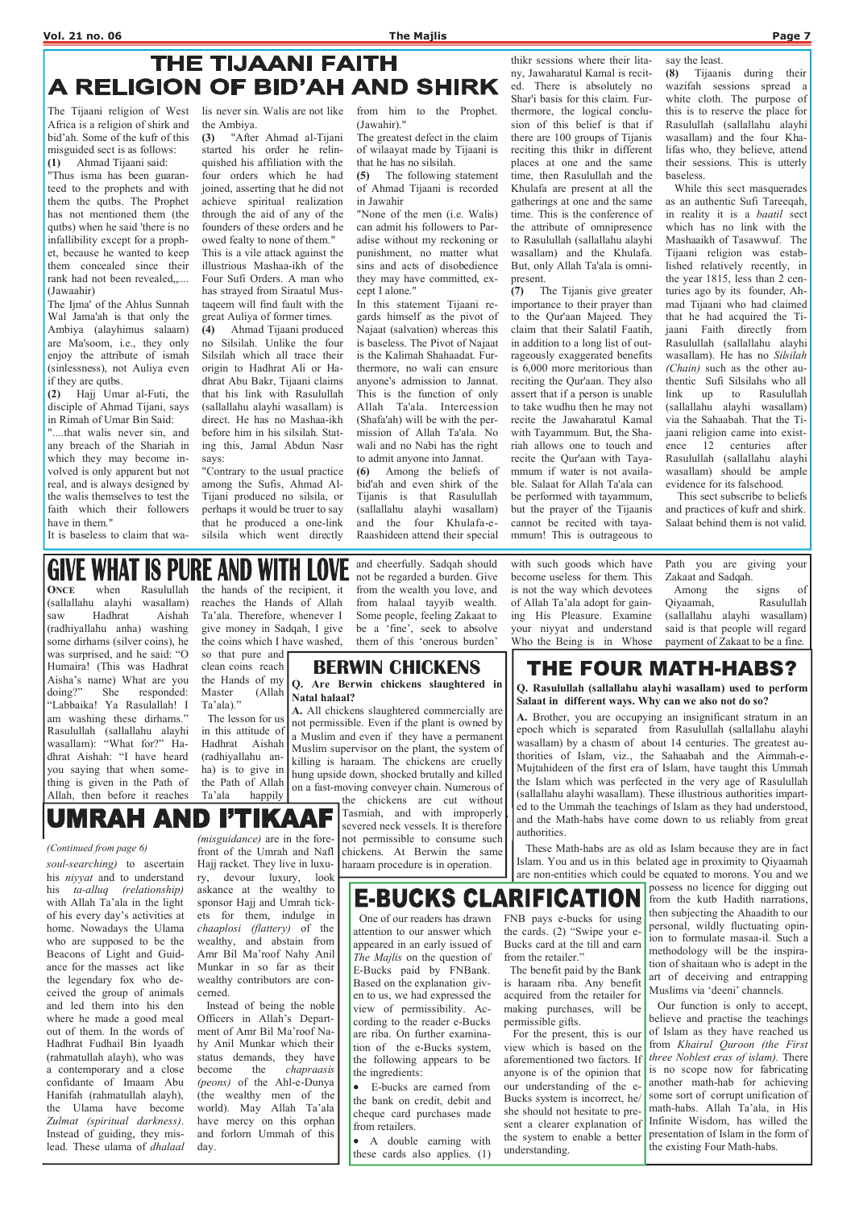## THE TIJAANI FAITH A RELIGION OF BID'AH AND SHIRK

ONCE when Rasulullah (sallallahu alayhi wasallam) saw Hadhrat Aishah (radhiyallahu anha) washing some dirhams (silver coins), he was surprised, and he said: "O Humaira! (This was Hadhrat Aisha's name) What are you<br>doing?" She responded: She responded: "Labbaika! Ya Rasulallah! I am washing these dirhams." Rasulullah (sallallahu alayhi wasallam): "What for?" Hadhrat Aishah: "I have heard you saying that when something is given in the Path of Allah, then before it reaches

the hands of the recipient, it reaches the Hands of Allah Ta'ala. Therefore, whenever I give money in Sadqah, I give the coins which I have washed,

so that pure and clean coins reach the Hands of my Master (Allah Ta'ala)."

 The lesson for us in this attitude of Hadhrat Aishah (radhiyallahu anha) is to give in the Path of Allah Ta'ala happily

#### and cheerfully. Sadqah should **GIVE WHAT IS PURE AND WITH** not be regarded a burden. Give

from the wealth you love, and from halaal tayyib wealth. Some people, feeling Zakaat to with such goods which have become useless for them. This

be a 'fine', seek to absolve them of this 'onerous burden'

#### is not the way which devotees of Allah Ta'ala adopt for gaining His Pleasure. Examine your niyyat and understand Who the Being is in Whose

Path you are giving your Zakaat and Sadqah. Among the signs of

Qiyaamah, Rasulullah (sallallahu alayhi wasallam) said is that people will regard payment of Zakaat to be a fine.

## THE FOUR MATH-HABS?

Q. Rasulullah (sallallahu alayhi wasallam) used to perform Salaat in different ways. Why can we also not do so?

the chickens are cut without Tasmiah, and with improperly severed neck vessels. It is therefore not permissible to consume such chickens. At Berwin the same soul-searching) to ascertain Hajj racket. They live in luxu- haraam procedure is in operation.

his *nivyat* and to understand his ta-alluq (relationship) with Allah Ta'ala in the light

A. Brother, you are occupying an insignificant stratum in an epoch which is separated from Rasulullah (sallallahu alayhi wasallam) by a chasm of about 14 centuries. The greatest authorities of Islam, viz., the Sahaabah and the Aimmah-e-Mujtahideen of the first era of Islam, have taught this Ummah the Islam which was perfected in the very age of Rasulullah (sallallahu alayhi wasallam). These illustrious authorities imparted to the Ummah the teachings of Islam as they had understood, and the Math-habs have come down to us reliably from great authorities.

 These Math-habs are as old as Islam because they are in fact Islam. You and us in this belated age in proximity to Qiyaamah are non-entities which could be equated to morons. You and we

possess no licence for digging out **E-BUCKS CLARIFICATION** from the kutb Hadith narrations, then subjecting the Ahaadith to our personal, wildly fluctuating opinion to formulate masaa-il. Such a methodology will be the inspiration of shaitaan who is adept in the art of deceiving and entrapping Muslims via 'deeni' channels. Our function is only to accept, believe and practise the teachings of Islam as they have reached us from Khairul Quroon (the First three Noblest eras of islam). There is no scope now for fabricating another math-hab for achieving some sort of corrupt unification of math-habs. Allah Ta'ala, in His Infinite Wisdom, has willed the presentation of Islam in the form of the existing Four Math-habs.

**UMRAH I'TIKAAF** AND (*misguidance*) are in the fore-

BERWIN CHICKENS

Q. Are Berwin chickens slaughtered in Natal halaal?

A. All chickens slaughtered commercially are not permissible. Even if the plant is owned by a Muslim and even if they have a permanent Muslim supervisor on the plant, the system of killing is haraam. The chickens are cruelly hung upside down, shocked brutally and killed on a fast-moving conveyer chain. Numerous of

"....that walis never sin, and any breach of the Shariah in which they may become involved is only apparent but not real, and is always designed by the walis themselves to test the faith which their followers have in them."

of his every day's activities at home. Nowadays the Ulama who are supposed to be the Beacons of Light and Guidance for the masses act like the legendary fox who deceived the group of animals and led them into his den where he made a good meal out of them. In the words of Hadhrat Fudhail Bin Iyaadh (rahmatullah alayh), who was a contemporary and a close confidante of Imaam Abu Hanifah (rahmatullah alayh), the Ulama have become Zulmat (spiritual darkness). Instead of guiding, they mislead. These ulama of dhalaal

front of the Umrah and Nafl Hajj racket. They live in luxury, devour luxury, look askance at the wealthy to sponsor Hajj and Umrah tick-

ets for them, indulge in chaaplosi (flattery) of the wealthy, and abstain from Amr Bil Ma'roof Nahy Anil Munkar in so far as their wealthy contributors are concerned.

 Instead of being the noble Officers in Allah's Department of Amr Bil Ma'roof Nahy Anil Munkar which their status demands, they have become the chapraasis (peons) of the Ahl-e-Dunya (the wealthy men of the world). May Allah Ta'ala have mercy on this orphan and forlorn Ummah of this day.

(Continued from page 6)

 One of our readers has drawn attention to our answer which appeared in an early issued of The Majlis on the question of E-Bucks paid by FNBank. Based on the explanation given to us, we had expressed the view of permissibility. According to the reader e-Bucks are riba. On further examination of the e-Bucks system, the following appears to be the ingredients: • E-bucks are earned from

the bank on credit, debit and cheque card purchases made from retailers.

• A double earning with these cards also applies. (1) FNB pays e-bucks for using the cards. (2) "Swipe your e-Bucks card at the till and earn from the retailer."

 The benefit paid by the Bank is haraam riba. Any benefit acquired from the retailer for making purchases, will be permissible gifts.

 For the present, this is our view which is based on the aforementioned two factors. If anyone is of the opinion that our understanding of the e-Bucks system is incorrect, he/ she should not hesitate to present a clearer explanation of the system to enable a better understanding.

The Tijaani religion of West Africa is a religion of shirk and bid'ah. Some of the kufr of this misguided sect is as follows: (1) Ahmad Tijaani said:

"Thus isma has been guaranteed to the prophets and with them the qutbs. The Prophet has not mentioned them (the qutbs) when he said 'there is no infallibility except for a prophet, because he wanted to keep them concealed since their rank had not been revealed,.... (Jawaahir)

The Ijma' of the Ahlus Sunnah Wal Jama'ah is that only the Ambiya (alayhimus salaam) are Ma'soom, i.e., they only enjoy the attribute of ismah (sinlessness), not Auliya even if they are qutbs.

(2) Hajj Umar al-Futi, the disciple of Ahmad Tijani, says in Rimah of Umar Bin Said:

It is baseless to claim that wa-

lis never sin. Walis are not like the Ambiya.

(3) "After Ahmad al-Tijani started his order he relinquished his affiliation with the four orders which he had joined, asserting that he did not achieve spiritual realization through the aid of any of the founders of these orders and he owed fealty to none of them."

This is a vile attack against the illustrious Mashaa-ikh of the Four Sufi Orders. A man who has strayed from Siraatul Mustaqeem will find fault with the great Auliya of former times.

(4) Ahmad Tijaani produced no Silsilah. Unlike the four Silsilah which all trace their origin to Hadhrat Ali or Hadhrat Abu Bakr, Tijaani claims that his link with Rasulullah (sallallahu alayhi wasallam) is direct. He has no Mashaa-ikh before him in his silsilah. Stating this, Jamal Abdun Nasr says:

"Contrary to the usual practice among the Sufis, Ahmad Al-Tijani produced no silsila, or perhaps it would be truer to say that he produced a one-link silsila which went directly

from him to the Prophet. (Jawahir)."

The greatest defect in the claim of wilaayat made by Tijaani is that he has no silsilah.

(5) The following statement of Ahmad Tijaani is recorded in Jawahir

"None of the men (i.e. Walis) can admit his followers to Paradise without my reckoning or punishment, no matter what sins and acts of disobedience they may have committed, except I alone."

In this statement Tijaani regards himself as the pivot of Najaat (salvation) whereas this is baseless. The Pivot of Najaat is the Kalimah Shahaadat. Furthermore, no wali can ensure anyone's admission to Jannat. This is the function of only Allah Ta'ala. Intercession (Shafa'ah) will be with the permission of Allah Ta'ala. No wali and no Nabi has the right to admit anyone into Jannat.

(6) Among the beliefs of bid'ah and even shirk of the Tijanis is that Rasulullah (sallallahu alayhi wasallam) and the four Khulafa-e-Raashideen attend their special

thikr sessions where their litany, Jawaharatul Kamal is recited. There is absolutely no Shar'i basis for this claim. Furthermore, the logical conclusion of this belief is that if there are 100 groups of Tijanis reciting this thikr in different places at one and the same time, then Rasulullah and the Khulafa are present at all the gatherings at one and the same time. This is the conference of the attribute of omnipresence to Rasulullah (sallallahu alayhi wasallam) and the Khulafa. But, only Allah Ta'ala is omnipresent.

(7) The Tijanis give greater importance to their prayer than to the Qur'aan Majeed. They claim that their Salatil Faatih, in addition to a long list of outrageously exaggerated benefits is 6,000 more meritorious than reciting the Qur'aan. They also assert that if a person is unable to take wudhu then he may not recite the Jawaharatul Kamal with Tayammum. But, the Shariah allows one to touch and recite the Qur'aan with Tayammum if water is not available. Salaat for Allah Ta'ala can be performed with tayammum, but the prayer of the Tijaanis cannot be recited with tayammum! This is outrageous to

say the least.

(8) Tijaanis during their wazifah sessions spread a white cloth. The purpose of this is to reserve the place for Rasulullah (sallallahu alayhi wasallam) and the four Khalifas who, they believe, attend their sessions. This is utterly baseless.

 While this sect masquerades as an authentic Sufi Tareeqah, in reality it is a baatil sect which has no link with the Mashaaikh of Tasawwuf. The Tijaani religion was established relatively recently, in the year 1815, less than 2 centuries ago by its founder, Ahmad Tijaani who had claimed that he had acquired the Tijaani Faith directly from Rasulullah (sallallahu alayhi wasallam). He has no Silsilah (Chain) such as the other authentic Sufi Silsilahs who all link up to Rasulullah (sallallahu alayhi wasallam) via the Sahaabah. That the Tijaani religion came into existence 12 centuries after Rasulullah (sallallahu alayhi wasallam) should be ample evidence for its falsehood.

 This sect subscribe to beliefs and practices of kufr and shirk. Salaat behind them is not valid.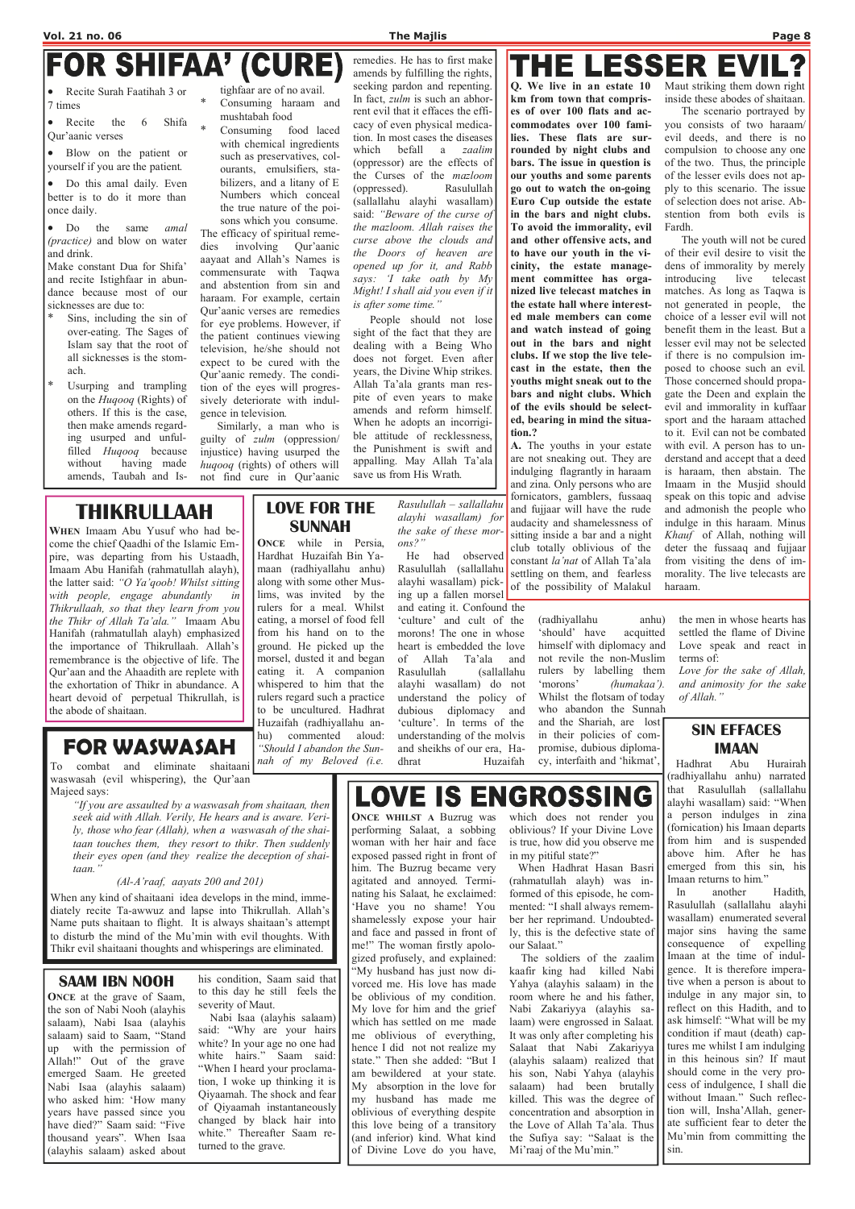# **FOR SHIFAA<sup>7</sup> (CURE)**<br>• Recite Surah Faatihah 3 or tighfaar are of no avail.

Recite the 6 Shifa Qur'aanic verses

7 times

• Blow on the patient or yourself if you are the patient.

• Do the same *amal* (practice) and blow on water and drink.

• Do this amal daily. Even better is to do it more than once daily.

Make constant Dua for Shifa' and recite Istighfaar in abundance because most of our sicknesses are due to:

- Sins, including the sin of over-eating. The Sages of Islam say that the root of all sicknesses is the stomach.
- Usurping and trampling on the Huqooq (Rights) of others. If this is the case, then make amends regarding usurped and unfulfilled Huqooq because without having made amends, Taubah and Is-

tighfaar are of no avail. Consuming haraam and mushtabah food

\* Consuming food laced with chemical ingredients such as preservatives, colourants, emulsifiers, stabilizers, and a litany of E Numbers which conceal the true nature of the poisons which you consume. The efficacy of spiritual reme-

dies involving Qur'aanic aayaat and Allah's Names is commensurate with Taqwa and abstention from sin and haraam. For example, certain Qur'aanic verses are remedies for eye problems. However, if the patient continues viewing television, he/she should not expect to be cured with the Qur'aanic remedy. The condition of the eyes will progressively deteriorate with indulgence in television.

 Similarly, a man who is guilty of zulm (oppression/ injustice) having usurped the huqooq (rights) of others will not find cure in Qur'aanic

remedies. He has to first make amends by fulfilling the rights, seeking pardon and repenting. In fact, *zulm* is such an abhorrent evil that it effaces the efficacy of even physical medication. In most cases the diseases which befall a zaalim (oppressor) are the effects of the Curses of the mazloom (oppressed). Rasulullah (sallallahu alayhi wasallam) said: "Beware of the curse of the mazloom. Allah raises the curse above the clouds and the Doors of heaven are opened up for it, and Rabb says: 'I take oath by My Might! I shall aid you even if it is after some time."

People should not lose sight of the fact that they are dealing with a Being Who does not forget. Even after years, the Divine Whip strikes. Allah Ta'ala grants man respite of even years to make amends and reform himself. When he adopts an incorrigible attitude of recklessness, the Punishment is swift and appalling. May Allah Ta'ala save us from His Wrath.

## THE LESSER EVI

## THIKRULLAAH

WHEN Imaam Abu Yusuf who had become the chief Qaadhi of the Islamic Empire, was departing from his Ustaadh, Imaam Abu Hanifah (rahmatullah alayh), the latter said: "O Ya'qoob! Whilst sitting with people, engage abundantly in Thikrullaah, so that they learn from you the Thikr of Allah Ta'ala." Imaam Abu Hanifah (rahmatullah alayh) emphasized the importance of Thikrullaah. Allah's remembrance is the objective of life. The Qur'aan and the Ahaadith are replete with the exhortation of Thikr in abundance. A heart devoid of perpetual Thikrullah, is the abode of shaitaan.

## FOR WASWASAH

To combat and eliminate shaitaani waswasah (evil whispering), the Qur'aan Majeed says:

"If you are assaulted by a waswasah from shaitaan, then seek aid with Allah. Verily, He hears and is aware. Verily, those who fear (Allah), when a waswasah of the shaitaan touches them, they resort to thikr. Then suddenly their eyes open (and they realize the deception of shaitaan."

#### (Al-A'raaf, aayats 200 and 201)

When any kind of shaitaani idea develops in the mind, immediately recite Ta-awwuz and lapse into Thikrullah. Allah's Name puts shaitaan to flight. It is always shaitaan's attempt to disturb the mind of the Mu'min with evil thoughts. With Thikr evil shaitaani thoughts and whisperings are eliminated.

### LOVE FOR THE SUNNAH

ONCE while in Persia, Hardhat Huzaifah Bin Yamaan (radhiyallahu anhu) along with some other Muslims, was invited by the rulers for a meal. Whilst eating, a morsel of food fell from his hand on to the ground. He picked up the morsel, dusted it and began eating it. A companion whispered to him that the rulers regard such a practice to be uncultured. Hadhrat Huzaifah (radhiyallahu anhu) commented aloud: "Should I abandon the Sunnah of my Beloved (i.e.

Rasulullah – sallallahu alayhi wasallam) for the sake of these morons?"

 He had observed Rasulullah (sallallahu alayhi wasallam) picking up a fallen morsel

and eating it. Confound the 'culture' and cult of the morons! The one in whose heart is embedded the love of Allah Ta'ala and Rasulullah (sallallahu alayhi wasallam) do not understand the policy of dubious diplomacy and 'culture'. In terms of the understanding of the molvis and sheikhs of our era, Hadhrat Huzaifah

#### Whilst the flotsam of today who abandon the Sunnah and the Shariah, are lost in their policies of compromise, dubious diplomacy, interfaith and 'hikmat',

(radhiyallahu anhu) 'should' have acquitted himself with diplomacy and not revile the non-Muslim rulers by labelling them 'morons' (humakaa'). the men in whose hearts has settled the flame of Divine Love speak and react in terms of: Love for the sake of Allah, and animosity for the sake

**LOVE IS ENGROSSING** 

ONCE WHILST A Buzrug was performing Salaat, a sobbing woman with her hair and face exposed passed right in front of him. The Buzrug became very agitated and annoyed. Terminating his Salaat, he exclaimed: 'Have you no shame! You shamelessly expose your hair and face and passed in front of me!" The woman firstly apologized profusely, and explained: "My husband has just now divorced me. His love has made be oblivious of my condition. My love for him and the grief which has settled on me made me oblivious of everything, hence I did not not realize my state." Then she added: "But I am bewildered at your state. My absorption in the love for my husband has made me oblivious of everything despite this love being of a transitory (and inferior) kind. What kind of Divine Love do you have, of Allah."

Q. We live in an estate 10 km from town that comprises of over 100 flats and accommodates over 100 families. These flats are surrounded by night clubs and bars. The issue in question is our youths and some parents go out to watch the on-going Euro Cup outside the estate in the bars and night clubs. To avoid the immorality, evil and other offensive acts, and to have our youth in the vicinity, the estate management committee has organized live telecast matches in the estate hall where interested male members can come and watch instead of going out in the bars and night clubs. If we stop the live telecast in the estate, then the youths might sneak out to the bars and night clubs. Which of the evils should be selected, bearing in mind the situation.?

A. The youths in your estate are not sneaking out. They are indulging flagrantly in haraam and zina. Only persons who are fornicators, gamblers, fussaaq and fujjaar will have the rude audacity and shamelessness of sitting inside a bar and a night club totally oblivious of the constant la'nat of Allah Ta'ala settling on them, and fearless of the possibility of Malakul

Maut striking them down right inside these abodes of shaitaan.

 The scenario portrayed by you consists of two haraam/ evil deeds, and there is no compulsion to choose any one of the two. Thus, the principle of the lesser evils does not apply to this scenario. The issue of selection does not arise. Abstention from both evils is Fardh.

 The youth will not be cured of their evil desire to visit the dens of immorality by merely introducing live telecast matches. As long as Taqwa is not generated in people, the choice of a lesser evil will not benefit them in the least. But a lesser evil may not be selected if there is no compulsion imposed to choose such an evil. Those concerned should propagate the Deen and explain the evil and immorality in kuffaar sport and the haraam attached to it. Evil can not be combated with evil. A person has to understand and accept that a deed is haraam, then abstain. The Imaam in the Musjid should speak on this topic and advise and admonish the people who indulge in this haraam. Minus Khauf of Allah, nothing will deter the fussaaq and fujjaar from visiting the dens of immorality. The live telecasts are haraam.

#### SAAM IBN NOOH

ONCE at the grave of Saam, the son of Nabi Nooh (alayhis salaam), Nabi Isaa (alayhis salaam) said to Saam, "Stand up with the permission of Allah!" Out of the grave emerged Saam. He greeted Nabi Isaa (alayhis salaam) who asked him: 'How many years have passed since you have died?" Saam said: "Five thousand years". When Isaa (alayhis salaam) asked about

his condition, Saam said that to this day he still feels the severity of Maut.

 Nabi Isaa (alayhis salaam) said: "Why are your hairs white? In your age no one had white hairs." Saam said: "When I heard your proclamation, I woke up thinking it is Qiyaamah. The shock and fear of Qiyaamah instantaneously changed by black hair into white." Thereafter Saam returned to the grave.

### SIN EFFACES IMAAN

 Hadhrat Abu Hurairah (radhiyallahu anhu) narrated that Rasulullah (sallallahu alayhi wasallam) said: "When a person indulges in zina (fornication) his Imaan departs from him and is suspended above him. After he has emerged from this sin, his Imaan returns to him."

 In another Hadith, Rasulullah (sallallahu alayhi

wasallam) enumerated several major sins having the same consequence of expelling Imaan at the time of indulgence. It is therefore imperative when a person is about to indulge in any major sin, to reflect on this Hadith, and to ask himself: "What will be my condition if maut (death) captures me whilst I am indulging in this heinous sin? If maut should come in the very process of indulgence, I shall die without Imaan." Such reflection will, Insha'Allah, generate sufficient fear to deter the Mu'min from committing the sin.

which does not render you oblivious? If your Divine Love is true, how did you observe me in my pitiful state?"

 When Hadhrat Hasan Basri (rahmatullah alayh) was informed of this episode, he commented: "I shall always remem-

ber her reprimand. Undoubtedly, this is the defective state of our Salaat."

 The soldiers of the zaalim kaafir king had killed Nabi Yahya (alayhis salaam) in the room where he and his father, Nabi Zakariyya (alayhis salaam) were engrossed in Salaat. It was only after completing his Salaat that Nabi Zakariyya (alayhis salaam) realized that his son, Nabi Yahya (alayhis salaam) had been brutally killed. This was the degree of concentration and absorption in the Love of Allah Ta'ala. Thus the Sufiya say: "Salaat is the Mi'raaj of the Mu'min."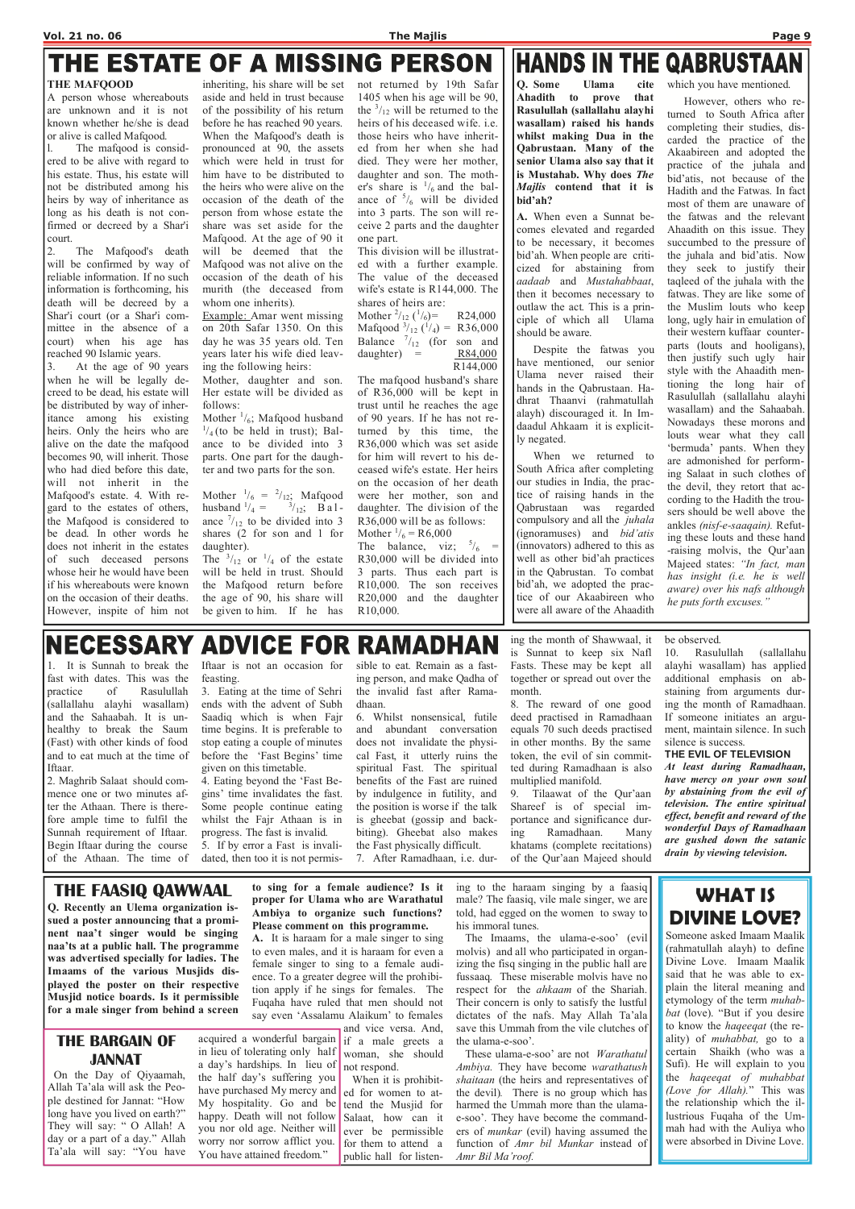## THE ESTATE OF A MISSING PERSON THE MAFQOOD

A person whose whereabouts are unknown and it is not known whether he/she is dead or alive is called Mafqood.

l. The mafqood is considered to be alive with regard to his estate. Thus, his estate will not be distributed among his heirs by way of inheritance as long as his death is not confirmed or decreed by a Shar'i court.

2. The Mafqood's death will be confirmed by way of reliable information. If no such information is forthcoming, his death will be decreed by a Shar'i court (or a Shar'i committee in the absence of a court) when his age has reached 90 Islamic years.

3. At the age of 90 years when he will be legally decreed to be dead, his estate will be distributed by way of inheritance among his existing heirs. Only the heirs who are alive on the date the mafqood becomes 90, will inherit. Those who had died before this date, will not inherit in the Mafqood's estate. 4. With regard to the estates of others, the Mafqood is considered to be dead. In other words he does not inherit in the estates of such deceased persons whose heir he would have been if his whereabouts were known on the occasion of their deaths. However, inspite of him not

Mother  $\frac{1}{6}$ ; Mafqood husband  $\frac{1}{4}$  (to be held in trust); Balance to be divided into 3 parts. One part for the daughter and two parts for the son.

Mother  $\frac{1}{6} = \frac{2}{12}$ ; Mafqood husband  $\frac{1}{4} = \frac{3}{12}$ ; B a l ance  $\frac{7}{12}$  to be divided into 3 shares (2 for son and 1 for daughter).

The  $\frac{3}{12}$  or  $\frac{1}{4}$  of the estate will be held in trust. Should the Mafqood return before the age of 90, his share will be given to him. If he has

inheriting, his share will be set aside and held in trust because of the possibility of his return before he has reached 90 years. When the Mafqood's death is pronounced at 90, the assets which were held in trust for him have to be distributed to the heirs who were alive on the occasion of the death of the person from whose estate the share was set aside for the Mafqood. At the age of 90 it will be deemed that the Mafqood was not alive on the occasion of the death of his murith (the deceased from whom one inherits).

> Mother  $\frac{2}{12}$  ( $\frac{1}{6}$ )= R24,000 Mafqood  $\frac{3}{12}$  ( $\frac{1}{4}$ ) = R36,000 Balance  $\frac{7}{12}$  (for son and daughter) =  $R84,000$ R144,000

> The mafqood husband's share of R36,000 will be kept in trust until he reaches the age of 90 years. If he has not returned by this time, the R36,000 which was set aside for him will revert to his deceased wife's estate. Her heirs on the occasion of her death were her mother, son and daughter. The division of the R36,000 will be as follows: Mother  $\frac{1}{6}$  = R6,000

> The balance, viz;  $\frac{5}{6}$  = R30,000 will be divided into 3 parts. Thus each part is R10,000. The son receives R20,000 and the daughter R10,000.

## **HANDS IN THE QABRUSTAAN**

Example: Amar went missing on 20th Safar 1350. On this day he was 35 years old. Ten years later his wife died leaving the following heirs:

Mother, daughter and son. Her estate will be divided as follows:

not returned by 19th Safar 1405 when his age will be 90, the  $\frac{3}{12}$  will be returned to the heirs of his deceased wife. i.e. those heirs who have inherited from her when she had died. They were her mother, daughter and son. The mother's share is  $\frac{1}{6}$  and the balance of  $\frac{5}{6}$  will be divided into 3 parts. The son will receive 2 parts and the daughter one part.

This division will be illustrated with a further example. The value of the deceased wife's estate is R144,000. The shares of heirs are:

Q. Some Ulama cite Ahadith to prove that Rasulullah (sallallahu alayhi wasallam) raised his hands whilst making Dua in the Qabrustaan. Many of the senior Ulama also say that it is Mustahab. Why does The Majlis contend that it is bid'ah?

A. When even a Sunnat becomes elevated and regarded to be necessary, it becomes bid'ah. When people are criticized for abstaining from aadaab and Mustahabbaat, then it becomes necessary to outlaw the act. This is a principle of which all Ulama should be aware.

 Despite the fatwas you have mentioned, our senior Ulama never raised their hands in the Qabrustaan. Hadhrat Thaanvi (rahmatullah alayh) discouraged it. In Imdaadul Ahkaam it is explicitly negated.

 When we returned to South Africa after completing our studies in India, the practice of raising hands in the Qabrustaan was regarded compulsory and all the *juhala* (ignoramuses) and bid'atis (innovators) adhered to this as well as other bid'ah practices in the Qabrustan. To combat bid'ah, we adopted the practice of our Akaabireen who were all aware of the Ahaadith

which you have mentioned. However, others who returned to South Africa after completing their studies, discarded the practice of the Akaabireen and adopted the practice of the juhala and bid'atis, not because of the Hadith and the Fatwas. In fact most of them are unaware of the fatwas and the relevant Ahaadith on this issue. They succumbed to the pressure of the juhala and bid'atis. Now they seek to justify their taqleed of the juhala with the fatwas. They are like some of the Muslim louts who keep long, ugly hair in emulation of their western kuffaar counterparts (louts and hooligans), then justify such ugly hair style with the Ahaadith mentioning the long hair of Rasulullah (sallallahu alayhi wasallam) and the Sahaabah. Nowadays these morons and louts wear what they call 'bermuda' pants. When they are admonished for performing Salaat in such clothes of the devil, they retort that according to the Hadith the trousers should be well above the ankles (nisf-e-saaqain). Refut-

ing these louts and these hand -raising molvis, the Qur'aan Majeed states: "In fact, man has insight (i.e. he is well aware) over his nafs although he puts forth excuses."

#### **NECESSARY ADVICE FOR RAMADHAN**

1. It is Sunnah to break the fast with dates. This was the practice of Rasulullah (sallallahu alayhi wasallam) and the Sahaabah. It is unhealthy to break the Saum (Fast) with other kinds of food and to eat much at the time of Iftaar.

2. Maghrib Salaat should commence one or two minutes after the Athaan. There is therefore ample time to fulfil the Sunnah requirement of Iftaar. Begin Iftaar during the course of the Athaan. The time of Iftaar is not an occasion for feasting.

3. Eating at the time of Sehri ends with the advent of Subh Saadiq which is when Fajr time begins. It is preferable to stop eating a couple of minutes before the 'Fast Begins' time given on this timetable.

4. Eating beyond the 'Fast Begins' time invalidates the fast. Some people continue eating whilst the Fajr Athaan is in progress. The fast is invalid.

5. If by error a Fast is invalidated, then too it is not permissible to eat. Remain as a fasting person, and make Qadha of the invalid fast after Ramadhaan.

6. Whilst nonsensical, futile and abundant conversation does not invalidate the physical Fast, it utterly ruins the spiritual Fast. The spiritual benefits of the Fast are ruined by indulgence in futility, and the position is worse if the talk is gheebat (gossip and backbiting). Gheebat also makes the Fast physically difficult. 7. After Ramadhaan, i.e. dur-

ing the month of Shawwaal, it is Sunnat to keep six Nafl Fasts. These may be kept all together or spread out over the month.

8. The reward of one good deed practised in Ramadhaan equals 70 such deeds practised in other months. By the same token, the evil of sin committed during Ramadhaan is also multiplied manifold.

9. Tilaawat of the Qur'aan Shareef is of special importance and significance during Ramadhaan. Many khatams (complete recitations) of the Qur'aan Majeed should be observed. 10. Rasulullah (sallallahu alayhi wasallam) has applied additional emphasis on abstaining from arguments during the month of Ramadhaan. If someone initiates an argu-

ment, maintain silence. In such

#### silence is success. THE EVIL OF TELEVISION

At least during Ramadhaan, have mercy on your own soul by abstaining from the evil of television. The entire spiritual effect, benefit and reward of the wonderful Days of Ramadhaan are gushed down the satanic drain by viewing television.

## THE FAASIQ QAWWAAL

Q. Recently an Ulema organization is-

sued a poster announcing that a prominent naa't singer would be singing naa'ts at a public hall. The programme was advertised specially for ladies. The Imaams of the various Musjids displayed the poster on their respective Musjid notice boards. Is it permissible for a male singer from behind a screen

### Please comment on this programme.

A. It is haraam for a male singer to sing to even males, and it is haraam for even a female singer to sing to a female audience. To a greater degree will the prohibition apply if he sings for females. The Fuqaha have ruled that men should not say even 'Assalamu Alaikum' to females

to sing for a female audience? Is it ing to the haraam singing by a faasiq proper for Ulama who are Warathatul male? The faasiq, vile male singer, we are Ambiya to organize such functions? told, had egged on the women to sway to his immoral tunes.

 When it is prohibithave purchased My mercy and ed for women to attend the Musjid for Salaat, how can it ever be permissible for them to attend a public hall for listen-

 The Imaams, the ulama-e-soo' (evil molvis) and all who participated in organizing the fisq singing in the public hall are fussaaq. These miserable molvis have no respect for the ahkaam of the Shariah. Their concern is only to satisfy the lustful dictates of the nafs. May Allah Ta'ala save this Ummah from the vile clutches of the ulama-e-soo'.

and vice versa. And, if a male greets a in lieu of tolerating only half woman, she should not respond. acquired a wonderful bargain a day's hardships. In lieu of the half day's suffering you

 These ulama-e-soo' are not Warathatul Ambiya. They have become warathatush shaitaan (the heirs and representatives of the devil). There is no group which has harmed the Ummah more than the ulamae-soo'. They have become the commanders of munkar (evil) having assumed the function of Amr bil Munkar instead of Amr Bil Ma'roof.

## THE BARGAIN OF JANNAT

 On the Day of Qiyaamah, Allah Ta'ala will ask the People destined for Jannat: "How long have you lived on earth?" They will say: " O Allah! A day or a part of a day." Allah Ta'ala will say: "You have

My hospitality. Go and be happy. Death will not follow you nor old age. Neither will worry nor sorrow afflict you. You have attained freedom."

WHAT IS

#### DIVINE LOVE?

Someone asked Imaam Maalik (rahmatullah alayh) to define Divine Love. Imaam Maalik said that he was able to explain the literal meaning and etymology of the term muhabbat (love). "But if you desire to know the haqeeqat (the reality) of muhabbat, go to a certain Shaikh (who was a Sufi). He will explain to you the haqeeqat of muhabbat (Love for Allah)." This was the relationship which the illustrious Fuqaha of the Ummah had with the Auliya who were absorbed in Divine Love.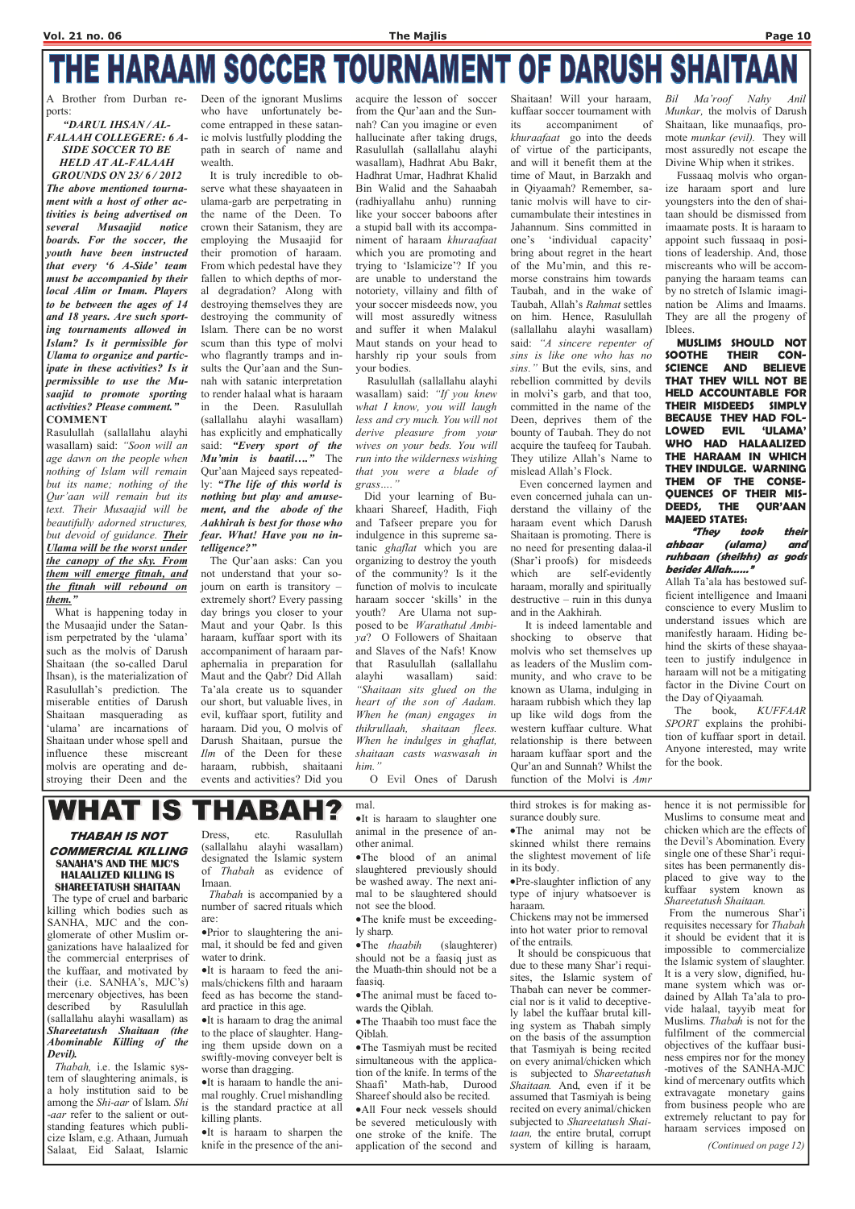# THE HARAAM SOCCER TOURNAMENT OF DARUSH SHAITAAN

THABAH IS NOT COMMERCIAL KILLING SANAHA'S AND THE MJC'S HALAALIZED KILLING IS SHAREETATUSH SHAITAAN

 The type of cruel and barbaric illing which bodies such as SANHA, MJC and the conglomerate of other Muslim organizations have halaalized for the commercial enterprises of the kuffaar, and motivated by their (i.e. SANHA's, MJC's) mercenary objectives, has been<br>described by Rasulullah Rasulullah (sallallahu alayhi wasallam) as Shareetatush Shaitaan (the Abominable Killing of the Devil). Thabah, i.e. the Islamic system of slaughtering animals, is a holy institution said to be among the Shi-aar of Islam. Shi -*aar* refer to the salient or outstanding features which publicize Islam, e.g. Athaan, Jumuah Salaat, Eid Salaat, Islamic

**WHAT IS** THABAH mal.

> Dress, etc. Rasulullah (sallallahu alayhi wasallam) designated the Islamic system of Thabah as evidence of Imaan.

> > •The knife must be exceedingly sharp.

•The *thaabih* (slaughterer) should not be a faasiq just as the Muath-thin should not be a faasiq.

 Thabah is accompanied by a number of sacred rituals which

are:

•Prior to slaughtering the animal, it should be fed and given water to drink.

•It is haraam to feed the animals/chickens filth and haraam feed as has become the standard practice in this age.

•It is haraam to drag the animal to the place of slaughter. Hanging them upside down on a swiftly-moving conveyer belt is worse than dragging.

•It is haraam to handle the animal roughly. Cruel mishandling is the standard practice at all killing plants.

•It is haraam to sharpen the knife in the presence of the ani-

•It is haraam to slaughter one animal in the presence of another animal.

•The blood of an animal slaughtered previously should be washed away. The next animal to be slaughtered should not see the blood.

- •The animal must be faced towards the Qiblah.
- •The Thaabih too must face the Qiblah.

•The Tasmiyah must be recited simultaneous with the application of the knife. In terms of the Shaafi' Math-hab, Durood Shareef should also be recited. •All Four neck vessels should be severed meticulously with one stroke of the knife. The application of the second and

third strokes is for making assurance doubly sure.

•The animal may not be skinned whilst there remains the slightest movement of life in its body.

•Pre-slaughter infliction of any type of injury whatsoever is haraam.

Chickens may not be immersed into hot water prior to removal of the entrails.

 It should be conspicuous that due to these many Shar'i requisites, the Islamic system of Thabah can never be commercial nor is it valid to deceptively label the kuffaar brutal killing system as Thabah simply on the basis of the assumption that Tasmiyah is being recited on every animal/chicken which is subjected to Shareetatush Shaitaan. And, even if it be assumed that Tasmiyah is being recited on every animal/chicken subjected to Shareetatush Shaitaan, the entire brutal, corrupt system of killing is haraam,

hence it is not permissible for Muslims to consume meat and chicken which are the effects of the Devil's Abomination. Every single one of these Shar'i requisites has been permanently displaced to give way to the

kuffaar system known as Shareetatush Shaitaan. From the numerous Shar'i requisites necessary for Thabah it should be evident that it is impossible to commercialize the Islamic system of slaughter. It is a very slow, dignified, humane system which was ordained by Allah Ta'ala to provide halaal, tayyib meat for Muslims. Thabah is not for the fulfilment of the commercial objectives of the kuffaar business empires nor for the money -motives of the SANHA-MJC kind of mercenary outfits which extravagate monetary gains from business people who are extremely reluctant to pay for haraam services imposed on

(Continued on page 12)

A Brother from Durban reports:

> Did your learning of Bukhaari Shareef, Hadith, Fiqh and Tafseer prepare you for indulgence in this supreme satanic *ghaflat* which you are organizing to destroy the youth of the community? Is it the function of molvis to inculcate haraam soccer 'skills' in the youth? Are Ulama not supposed to be Warathatul Ambiya? O Followers of Shaitaan and Slaves of the Nafs! Know that Rasulullah (sallallahu alayhi wasallam) said: "Shaitaan sits glued on the heart of the son of Aadam. When he (man) engages in thikrullaah, shaitaan flees. When he indulges in ghaflat, shaitaan casts waswasah in him."

"DARUL IHSAN / AL-FALAAH COLLEGERE: 6 A-SIDE SOCCER TO BE HELD AT AL-FALAAH

GROUNDS ON 23/ 6 / 2012 The above mentioned tournament with a host of other activities is being advertised on several Musaajid notice boards. For the soccer, the youth have been instructed that every '6 A-Side' team must be accompanied by their local Alim or Imam. Players to be between the ages of 14 and 18 years. Are such sporting tournaments allowed in Islam? Is it permissible for Ulama to organize and participate in these activities? Is it permissible to use the Musaajid to promote sporting activities? Please comment." COMMENT

Rasulullah (sallallahu alayhi wasallam) said: "Soon will an age dawn on the people when nothing of Islam will remain but its name; nothing of the Qur'aan will remain but its text. Their Musaajid will be beautifully adorned structures, but devoid of guidance. Their Ulama will be the worst under the canopy of the sky. From them will emerge fitnah, and the fitnah will rebound on them."

 What is happening today in the Musaajid under the Satanism perpetrated by the 'ulama' such as the molvis of Darush Shaitaan (the so-called Darul Ihsan), is the materialization of Rasulullah's prediction. The miserable entities of Darush Shaitaan masquerading as 'ulama' are incarnations of Shaitaan under whose spell and influence these miscreant molvis are operating and destroying their Deen and the

Deen of the ignorant Muslims who have unfortunately become entrapped in these satanic molvis lustfully plodding the path in search of name and wealth.

 It is truly incredible to observe what these shayaateen in ulama-garb are perpetrating in the name of the Deen. To crown their Satanism, they are employing the Musaajid for their promotion of haraam. From which pedestal have they fallen to which depths of moral degradation? Along with destroying themselves they are destroying the community of Islam. There can be no worst scum than this type of molvi who flagrantly tramps and insults the Qur'aan and the Sunnah with satanic interpretation to render halaal what is haraam in the Deen. Rasulullah (sallallahu alayhi wasallam) has explicitly and emphatically said: "Every sport of the Mu'min is baatil...." The Qur'aan Majeed says repeatedly: "The life of this world is nothing but play and amusement, and the abode of the Aakhirah is best for those who fear. What! Have you no intelligence?"

 The Qur'aan asks: Can you not understand that your sojourn on earth is transitory – extremely short? Every passing day brings you closer to your Maut and your Qabr. Is this haraam, kuffaar sport with its accompaniment of haraam paraphernalia in preparation for Maut and the Qabr? Did Allah Ta'ala create us to squander our short, but valuable lives, in evil, kuffaar sport, futility and haraam. Did you, O molvis of Darush Shaitaan, pursue the Ilm of the Deen for these haraam, rubbish, shaitaani events and activities? Did you

acquire the lesson of soccer from the Qur'aan and the Sunnah? Can you imagine or even hallucinate after taking drugs, Rasulullah (sallallahu alayhi wasallam), Hadhrat Abu Bakr, Hadhrat Umar, Hadhrat Khalid Bin Walid and the Sahaabah (radhiyallahu anhu) running like your soccer baboons after a stupid ball with its accompaniment of haraam khuraafaat which you are promoting and trying to 'Islamicize'? If you are unable to understand the notoriety, villainy and filth of your soccer misdeeds now, you will most assuredly witness and suffer it when Malakul Maut stands on your head to harshly rip your souls from your bodies.

 Rasulullah (sallallahu alayhi wasallam) said: "If you knew what I know, you will laugh less and cry much. You will not derive pleasure from your wives on your beds. You will run into the wilderness wishing that you were a blade of grass…."

O Evil Ones of Darush

Shaitaan! Will your haraam, kuffaar soccer tournament with

its accompaniment of khuraafaat go into the deeds of virtue of the participants, and will it benefit them at the time of Maut, in Barzakh and in Qiyaamah? Remember, satanic molvis will have to circumambulate their intestines in Jahannum. Sins committed in one's 'individual capacity' bring about regret in the heart of the Mu'min, and this remorse constrains him towards Taubah, and in the wake of Taubah, Allah's Rahmat settles on him. Hence, Rasulullah (sallallahu alayhi wasallam) said: "A sincere repenter of sins is like one who has no sins." But the evils, sins, and rebellion committed by devils in molvi's garb, and that too, committed in the name of the Deen, deprives them of the bounty of Taubah. They do not acquire the taufeeq for Taubah. They utilize Allah's Name to mislead Allah's Flock.

 Even concerned laymen and even concerned juhala can understand the villainy of the haraam event which Darush Shaitaan is promoting. There is no need for presenting dalaa-il (Shar'i proofs) for misdeeds which are self-evidently haraam, morally and spiritually destructive – ruin in this dunya and in the Aakhirah.

 It is indeed lamentable and shocking to observe that molvis who set themselves up as leaders of the Muslim community, and who crave to be known as Ulama, indulging in haraam rubbish which they lap up like wild dogs from the western kuffaar culture. What relationship is there between haraam kuffaar sport and the Qur'an and Sunnah? Whilst the function of the Molvi is Amr

Bil Ma'roof Nahy Anil Munkar, the molvis of Darush Shaitaan, like munaafiqs, promote *munkar (evil)*. They will most assuredly not escape the Divine Whip when it strikes.

 Fussaaq molvis who organize haraam sport and lure youngsters into the den of shaitaan should be dismissed from imaamate posts. It is haraam to appoint such fussaaq in positions of leadership. And, those miscreants who will be accompanying the haraam teams can by no stretch of Islamic imagination be Alims and Imaams. They are all the progeny of Iblees.

 MUSLIMS SHOULD NOT SOOTHE THEIR CON-SCIENCE AND BELIEVE THAT THEY WILL NOT BE HELD ACCOUNTABLE FOR THEIR MISDEEDS SIMPLY BECAUSE THEY HAD FOL-LOWED EVIL 'ULAMA' WHO HAD HALAALIZED THE HARAAM IN WHICH THEY INDULGE. WARNING THEM OF THE CONSE-QUENCES OF THEIR MIS-DEEDS, THE QUR'AAN MAJEED STATES:

#### "They took their ahbaar (ulama) and ruhbaan (sheikhs) as gods besides Allah……"

Allah Ta'ala has bestowed sufficient intelligence and Imaani conscience to every Muslim to understand issues which are manifestly haraam. Hiding behind the skirts of these shayaateen to justify indulgence in haraam will not be a mitigating factor in the Divine Court on the Day of Qiyaamah.

 The book, KUFFAAR SPORT explains the prohibition of kuffaar sport in detail. Anyone interested, may write for the book.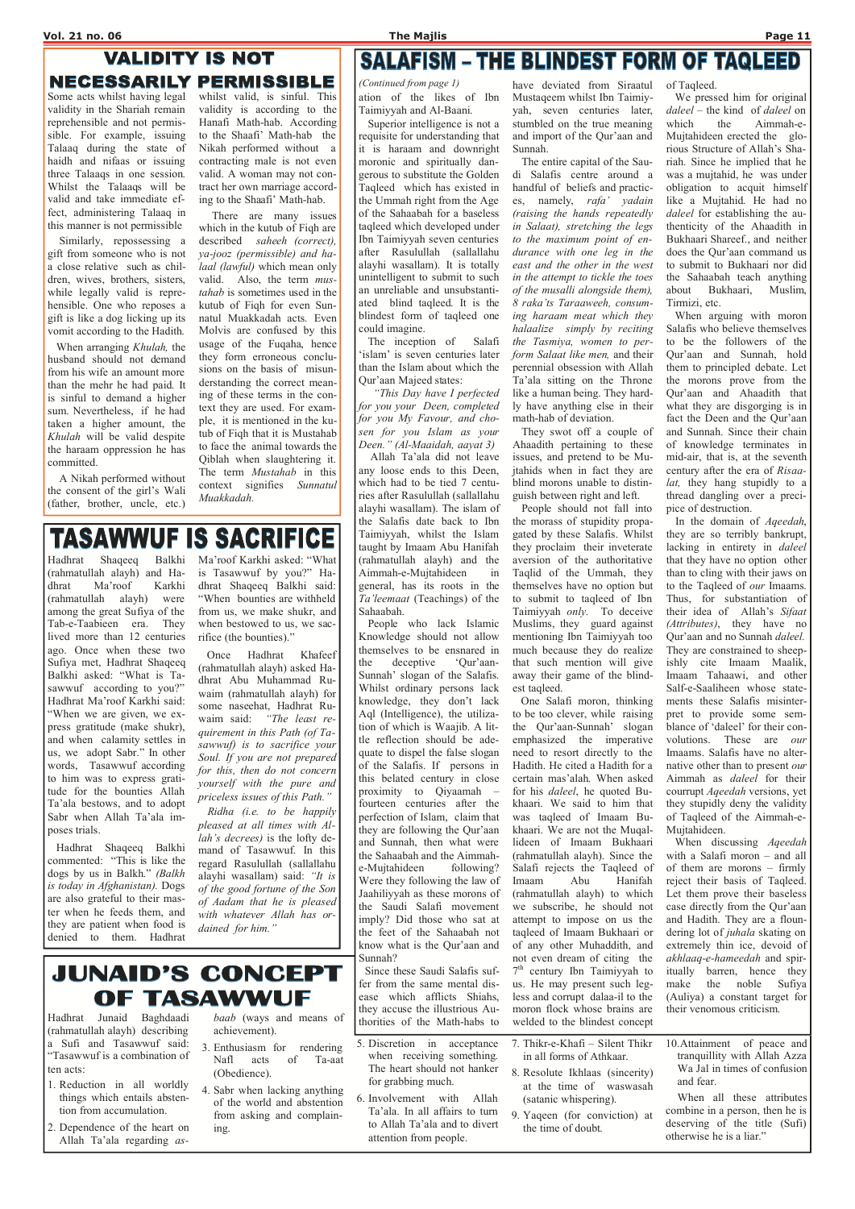## **VALIDITY IS NOT NECESSARILY PERMISSIBLE**

Some acts whilst having legal validity in the Shariah remain reprehensible and not permissible. For example, issuing Talaaq during the state of haidh and nifaas or issuing three Talaaqs in one session. Whilst the Talaaqs will be valid and take immediate effect, administering Talaaq in this manner is not permissible

 Similarly, repossessing a gift from someone who is not a close relative such as children, wives, brothers, sisters, while legally valid is reprehensible. One who reposes a gift is like a dog licking up its vomit according to the Hadith.

 When arranging Khulah, the husband should not demand from his wife an amount more than the mehr he had paid. It is sinful to demand a higher sum. Nevertheless, if he had taken a higher amount, the Khulah will be valid despite the haraam oppression he has committed.

 A Nikah performed without the consent of the girl's Wali (father, brother, uncle, etc.)

whilst valid, is sinful. This validity is according to the Hanafi Math-hab. According to the Shaafi' Math-hab the Nikah performed without a contracting male is not even valid. A woman may not contract her own marriage according to the Shaafi' Math-hab.

 There are many issues which in the kutub of Fiqh are described saheeh (correct), ya-jooz (permissible) and halaal (lawful) which mean only valid. Also, the term mustahab is sometimes used in the kutub of Fiqh for even Sunnatul Muakkadah acts. Even Molvis are confused by this usage of the Fuqaha, hence they form erroneous conclusions on the basis of misunderstanding the correct meaning of these terms in the context they are used. For example, it is mentioned in the kutub of Fiqh that it is Mustahab to face the animal towards the Qiblah when slaughtering it. The term *Mustahab* in this context signifies Sunnatul Muakkadah.

## **TASAWWUF IS SACRIFICE**

 Superior intelligence is not a requisite for understanding that it is haraam and downright moronic and spiritually dangerous to substitute the Golden Taqleed which has existed in the Ummah right from the Age of the Sahaabah for a baseless taqleed which developed under Ibn Taimiyyah seven centuries after Rasulullah (sallallahu alayhi wasallam). It is totally unintelligent to submit to such an unreliable and unsubstantiated blind taqleed. It is the blindest form of taqleed one could imagine.

 The inception of Salafi 'islam' is seven centuries later than the Islam about which the Qur'aan Majeed states:

 "This Day have I perfected for you your Deen, completed for you My Favour, and chosen for you Islam as your Deen." (Al-Maaidah, aayat 3)

 Allah Ta'ala did not leave any loose ends to this Deen, which had to be tied 7 centuries after Rasulullah (sallallahu alayhi wasallam). The islam of the Salafis date back to Ibn Taimiyyah, whilst the Islam taught by Imaam Abu Hanifah (rahmatullah alayh) and the Aimmah-e-Mujtahideen in general, has its roots in the Ta'leemaat (Teachings) of the Sahaabah.

 People who lack Islamic Knowledge should not allow themselves to be ensnared in the deceptive 'Qur'aan-Sunnah' slogan of the Salafis. Whilst ordinary persons lack knowledge, they don't lack Aql (Intelligence), the utilization of which is Waajib. A little reflection should be adequate to dispel the false slogan of the Salafis. If persons in this belated century in close proximity to Qiyaamah – fourteen centuries after the perfection of Islam, claim that they are following the Qur'aan and Sunnah, then what were the Sahaabah and the Aimmahe-Mujtahideen following? Were they following the law of Jaahiliyyah as these morons of the Saudi Salafi movement

When discussing *Aqeedah* with a Salafi moron – and all of them are morons – firmly reject their basis of Taqleed. Let them prove their baseless case directly from the Qur'aan

have deviated from Siraatul Mustaqeem whilst Ibn Taimiyyah, seven centuries later, stumbled on the true meaning and import of the Qur'aan and Sunnah.

 The entire capital of the Saudi Salafis centre around a handful of beliefs and practices, namely, rafa' yadain (raising the hands repeatedly in Salaat), stretching the legs to the maximum point of endurance with one leg in the east and the other in the west in the attempt to tickle the toes of the musalli alongside them), 8 raka'ts Taraaweeh, consuming haraam meat which they halaalize simply by reciting the Tasmiya, women to perform Salaat like men, and their perennial obsession with Allah Ta'ala sitting on the Throne like a human being. They hardly have anything else in their math-hab of deviation.

 They swot off a couple of Ahaadith pertaining to these issues, and pretend to be Mujtahids when in fact they are blind morons unable to distinguish between right and left.

ation of the likes of Ibn Taimiyyah and Al-Baani. (Continued from page 1)

> People should not fall into the morass of stupidity propagated by these Salafis. Whilst they proclaim their inveterate aversion of the authoritative Taqlid of the Ummah, they themselves have no option but to submit to taqleed of Ibn Taimiyyah only. To deceive Muslims, they guard against mentioning Ibn Taimiyyah too much because they do realize that such mention will give away their game of the blindest taqleed.

| ter when he feeds them, and<br>with whatever Allah has or-<br>they are patient when food is<br>dained for him."<br>denied to them. Hadhrat                                                                                                                                                                                                                                                                           | imply? Did those who sat at<br>the feet of the Sahaabah not<br>know what is the Qur'aan and<br>Sunnah?<br>Since these Saudi Salafis suf-<br>fer from the same mental dis-<br>ease which afflicts Shiahs,<br>they accuse the illustrious Au-<br>thorities of the Math-habs to | attempt to impose on us the<br>taqleed of Imaam Bukhaari or<br>of any other Muhaddith, and<br>not even dream of citing the<br>$7th$ century Ibn Taimiyyah to<br>us. He may present such leg-<br>make<br>less and corrupt dalaa-il to the<br>moron flock whose brains are<br>welded to the blindest concept | and Hadith. They are a floun-<br>dering lot of <i>juhala</i> skating on<br>extremely thin ice, devoid of                                                                                                                                |
|----------------------------------------------------------------------------------------------------------------------------------------------------------------------------------------------------------------------------------------------------------------------------------------------------------------------------------------------------------------------------------------------------------------------|------------------------------------------------------------------------------------------------------------------------------------------------------------------------------------------------------------------------------------------------------------------------------|------------------------------------------------------------------------------------------------------------------------------------------------------------------------------------------------------------------------------------------------------------------------------------------------------------|-----------------------------------------------------------------------------------------------------------------------------------------------------------------------------------------------------------------------------------------|
| <b>JUNAID'S CONCEPT</b><br>OF TASAWWUF<br>Baghdaadi<br>baab (ways and means of<br>Hadhrat<br>Junaid<br>(rahmatullah alayh) describing<br>achievement).                                                                                                                                                                                                                                                               |                                                                                                                                                                                                                                                                              |                                                                                                                                                                                                                                                                                                            | akhlaaq-e-hameedah and spir-<br>itually barren, hence they<br>the noble Sufiya<br>(Auliya) a constant target for<br>their venomous criticism.                                                                                           |
| a Sufi and Tasawwuf said:<br>3. Enthusiasm for<br>rendering<br>"Tasawwuf is a combination of<br>of<br>Nafl acts<br>Ta-aat<br>ten acts:<br>(Obedience).<br>I. Reduction in all worldly<br>4. Sabr when lacking anything<br>things which entails absten-<br>of the world and abstention<br>tion from accumulation.<br>from asking and complain-<br>2. Dependence of the heart on<br>ing.<br>Allah Ta'ala regarding as- | 5. Discretion in acceptance<br>when receiving something.<br>The heart should not hanker<br>for grabbing much.<br>6. Involvement with<br>Allah<br>Ta'ala. In all affairs to turn<br>to Allah Ta'ala and to divert<br>attention from people.                                   | 7. Thikr-e-Khafi – Silent Thikr<br>in all forms of Athkaar.<br>8. Resolute Ikhlaas (sincerity)<br>at the time of waswasah<br>(satanic whispering).<br>9. Yaqeen (for conviction) at<br>the time of doubt.                                                                                                  | 10. Attainment of peace and<br>tranquillity with Allah Azza<br>Wa Jal in times of confusion<br>and fear.<br>When all these attributes<br>combine in a person, then he is<br>deserving of the title $(Sufi)$<br>otherwise he is a liar." |

 One Salafi moron, thinking to be too clever, while raising the Qur'aan-Sunnah' slogan emphasized the imperative need to resort directly to the Hadith. He cited a Hadith for a certain mas'alah. When asked for his daleel, he quoted Bukhaari. We said to him that was taqleed of Imaam Bukhaari. We are not the Muqallideen of Imaam Bukhaari (rahmatullah alayh). Since the Salafi rejects the Taqleed of Imaam Abu Hanifah (rahmatullah alayh) to which we subscribe, he should not

of Taqleed.

 We pressed him for original daleel – the kind of daleel on which the Aimmah-e-Mujtahideen erected the glorious Structure of Allah's Shariah. Since he implied that he was a mujtahid, he was under obligation to acquit himself like a Mujtahid. He had no daleel for establishing the authenticity of the Ahaadith in Bukhaari Shareef., and neither does the Qur'aan command us to submit to Bukhaari nor did the Sahaabah teach anything about Bukhaari, Muslim, Tirmizi, etc.

 When arguing with moron Salafis who believe themselves to be the followers of the Qur'aan and Sunnah, hold them to principled debate. Let the morons prove from the Qur'aan and Ahaadith that what they are disgorging is in fact the Deen and the Qur'aan and Sunnah. Since their chain of knowledge terminates in mid-air, that is, at the seventh century after the era of Risaalat, they hang stupidly to a thread dangling over a precipice of destruction.

 In the domain of Aqeedah, they are so terribly bankrupt, lacking in entirety in *daleel* that they have no option other than to cling with their jaws on to the Taqleed of our Imaams. Thus, for substantiation of their idea of Allah's Sifaat (Attributes), they have no Qur'aan and no Sunnah daleel. They are constrained to sheepishly cite Imaam Maalik, Imaam Tahaawi, and other Salf-e-Saaliheen whose statements these Salafis misinterpret to provide some semblance of 'daleel' for their convolutions. These are our Imaams. Salafis have no alternative other than to present our Aimmah as daleel for their courrupt Aqeedah versions, yet they stupidly deny the validity of Taqleed of the Aimmah-e-Mujtahideen.

Hadhrat Shaqeeq Balkhi (rahmatullah alayh) and Hadhrat Ma'roof Karkhi (rahmatullah alayh) were among the great Sufiya of the Tab-e-Taabieen era. They lived more than 12 centuries ago. Once when these two Sufiya met, Hadhrat Shaqeeq Balkhi asked: "What is Tasawwuf according to you?" Hadhrat Ma'roof Karkhi said: "When we are given, we express gratitude (make shukr), and when calamity settles in us, we adopt Sabr." In other words, Tasawwuf according to him was to express gratitude for the bounties Allah Ta'ala bestows, and to adopt Sabr when Allah Ta'ala imposes trials.

 Hadhrat Shaqeeq Balkhi commented: "This is like the dogs by us in Balkh." (Balkh is today in Afghanistan). Dogs are also grateful to their master when he feeds them, and

Ma'roof Karkhi asked: "What is Tasawwuf by you?" Hadhrat Shaqeeq Balkhi said: "When bounties are withheld from us, we make shukr, and when bestowed to us, we sacrifice (the bounties)."

 Once Hadhrat Khafeef (rahmatullah alayh) asked Hadhrat Abu Muhammad Ruwaim (rahmatullah alayh) for some naseehat, Hadhrat Ruwaim said: "The least requirement in this Path (of Tasawwuf) is to sacrifice your Soul. If you are not prepared for this, then do not concern yourself with the pure and priceless issues of this Path."

 Ridha (i.e. to be happily pleased at all times with Allah's decrees) is the lofty demand of Tasawwuf. In this regard Rasulullah (sallallahu alayhi wasallam) said: "It is of the good fortune of the Son of Aadam that he is pleased

## **SALAFISM - THE BLINDEST FORM OF TAQLEED**